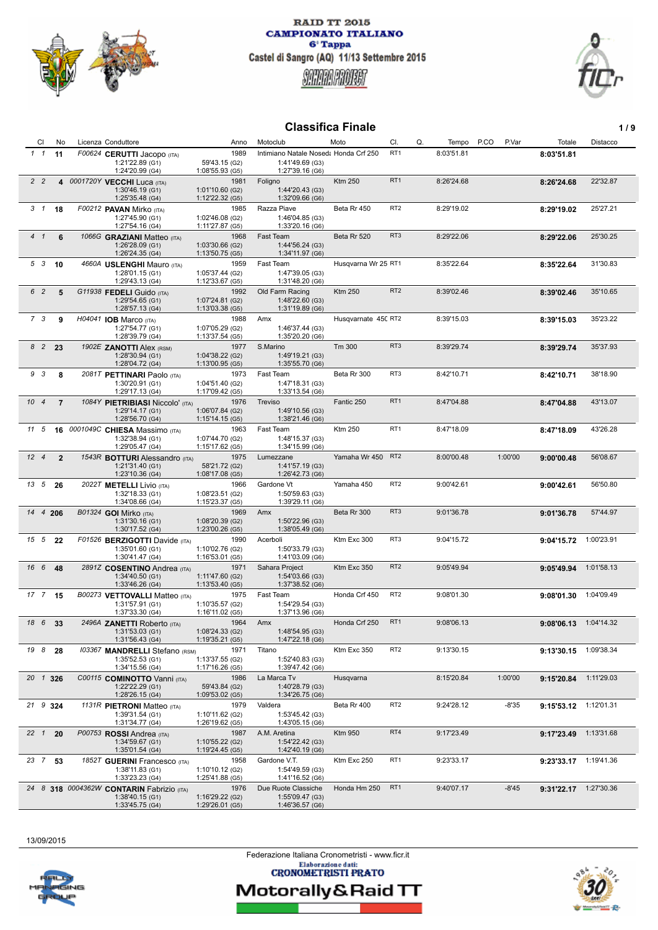



# **Classifica Finale 1/9**

| <b>CI</b>       | No              | Licenza Conduttore                                                              | Anno                                       | Motoclub                                                                    | Moto                | CI.             | Q.<br>Tempo | P.CO    | P.Var<br>Totale                  | Distacco   |
|-----------------|-----------------|---------------------------------------------------------------------------------|--------------------------------------------|-----------------------------------------------------------------------------|---------------------|-----------------|-------------|---------|----------------------------------|------------|
| $1\quad1$       | 11              | F00624 CERUTTI Jacopo (ITA)<br>1:21'22.89 (G1)<br>1:24'20.99 (G4)               | 1989<br>59'43.15 (G2)<br>1:08'55.93 (G5)   | Intimiano Natale Nosed: Honda Crf 250<br>1:41'49.69 (G3)<br>1:27'39.16 (G6) |                     | RT <sub>1</sub> | 8:03'51.81  |         | 8:03'51.81                       |            |
| 2 <sub>2</sub>  |                 | 4 0001720Y VECCHI Luca (ITA)<br>1:30'46.19 (G1)<br>1:25'35.48 (G4)              | 1981<br>1:01'10.60 (G2)<br>1:12'22.32 (G5) | Foligno<br>1:44'20.43 (G3)<br>1:32'09.66 (G6)                               | <b>Ktm 250</b>      | RT <sub>1</sub> | 8:26'24.68  |         | 8:26'24.68                       | 22'32.87   |
| $3 \t1$         | 18              | F00212 PAVAN Mirko (ITA)<br>1:27'45.90 (G1)<br>1:27'54.16 (G4)                  | 1985<br>1:02'46.08 (G2)<br>1:11'27.87 (G5) | Razza Piave<br>1:46'04.85 (G3)<br>1:33'20.16 (G6)                           | Beta Rr 450         | RT <sub>2</sub> | 8:29'19.02  |         | 8:29'19.02                       | 25'27.21   |
| 4 <sub>1</sub>  | 6               | 1066G GRAZIANI Matteo (ITA)<br>1:26'28.09 (G1)<br>1:26'24.35 (G4)               | 1968<br>1:03'30.66 (G2)<br>1:13'50.75 (G5) | Fast Team<br>1:44'56.24 (G3)<br>1:34'11.97 (G6)                             | Beta Rr 520         | RT <sub>3</sub> | 8:29'22.06  |         | 8:29'22.06                       | 25'30.25   |
| 5 3             | 10              | 4660A USLENGHI Mauro (ITA)<br>1:28'01.15 (G1)<br>1:29'43.13 (G4)                | 1959<br>1:05'37.44 (G2)<br>1:12'33.67 (G5) | Fast Team<br>1:47'39.05 (G3)<br>1:31'48.20 (G6)                             | Husgvarna Wr 25 RT1 |                 | 8:35'22.64  |         | 8:35'22.64                       | 31'30.83   |
| 6 2             | 5               | G11938 FEDELI Guido (ITA)<br>1:29'54.65 (G1)<br>1:28'57.13 (G4)                 | 1992<br>1:07'24.81 (G2)<br>1:13'03.38 (G5) | Old Farm Racing<br>1:48'22.60 (G3)<br>1:31'19.89 (G6)                       | <b>Ktm 250</b>      | RT <sub>2</sub> | 8:39'02.46  |         | 8:39'02.46                       | 35'10.65   |
| 7 <sub>3</sub>  | 9               | <b>H04041 IOB Marco (ITA)</b><br>1:27'54.77 (G1)<br>1:28'39.79 (G4)             | 1988<br>1:07'05.29 (G2)<br>1:13'37.54 (G5) | Amx<br>1:46'37.44 (G3)<br>1:35'20.20 (G6)                                   | Husgvarnate 450 RT2 |                 | 8:39'15.03  |         | 8:39'15.03                       | 35'23.22   |
| 8 <sub>2</sub>  | 23              | 1902E ZANOTTI Alex (RSM)<br>1:28'30.94 (G1)<br>1:28'04.72 (G4)                  | 1977<br>1:04'38.22 (G2)<br>1:13'00.95 (G5) | S.Marino<br>1:49'19.21 (G3)<br>1:35'55.70 (G6)                              | Tm 300              | RT <sub>3</sub> | 8:39'29.74  |         | 8:39'29.74                       | 35'37.93   |
| 9 3             | 8               | 2081T PETTINARI Paolo (ITA)<br>1:30'20.91 (G1)<br>1:29'17.13 (G4)               | 1973<br>1:04'51.40 (G2)<br>1:17'09.42 (G5) | Fast Team<br>1:47'18.31 (G3)<br>1:33'13.54 (G6)                             | Beta Rr 300         | RT <sub>3</sub> | 8:42'10.71  |         | 8:42'10.71                       | 38'18.90   |
| 10 <sub>4</sub> | $\overline{7}$  | 1084Y PIETRIBIASI Niccolo' (ITA)<br>1:29'14.17 (G1)<br>1:28'56.70 (G4)          | 1976<br>1:06'07.84 (G2)<br>1:15'14.15 (G5) | Treviso<br>1:49'10.56 (G3)<br>1:38'21.46 (G6)                               | Fantic 250          | RT <sub>1</sub> | 8:47'04.88  |         | 8:47'04.88                       | 43'13.07   |
| $11 \quad 5$    |                 | 16 0001049C CHIESA Massimo (ITA)<br>1:32'38.94 (G1)<br>1:29'05.47 (G4)          | 1963<br>1:07'44.70 (G2)<br>1:15'17.62 (G5) | Fast Team<br>1:48'15.37 (G3)<br>1:34'15.99 (G6)                             | <b>Ktm 250</b>      | RT <sub>1</sub> | 8:47'18.09  |         | 8:47'18.09                       | 43'26.28   |
| 12 <sup>4</sup> | $\overline{2}$  | 1543R <b>BOTTURI</b> Alessandro (ITA)<br>1:21'31.40 (G1)<br>1:23'10.36 (G4)     | 1975<br>58'21.72 (G2)<br>1:08'17.08 (G5)   | Lumezzane<br>1:41'57.19 (G3)<br>1:26'42.73 (G6)                             | Yamaha Wr 450       | RT <sub>2</sub> | 8:00'00.48  | 1:00'00 | 9:00'00.48                       | 56'08.67   |
| 13 5            | 26              | 2022 $T$ METELLI Livio (ITA)<br>1:32'18.33 (G1)<br>1:34'08.66 (G4)              | 1966<br>1:08'23.51 (G2)<br>1:15'23.37 (G5) | Gardone Vt<br>1:50'59.63 (G3)<br>1:39'29.11 (G6)                            | Yamaha 450          | RT <sub>2</sub> | 9:00'42.61  |         | 9:00'42.61                       | 56'50.80   |
|                 | 14 4 206        | B01324 GOI Mirko (ITA)<br>1:31'30.16 (G1)<br>1:30'17.52 (G4)                    | 1969<br>1:08'20.39 (G2)<br>1:23'00.26 (G5) | Amx<br>1:50'22.96 (G3)<br>1:38'05.49 (G6)                                   | Beta Rr 300         | RT <sub>3</sub> | 9:01'36.78  |         | 9:01'36.78                       | 57'44.97   |
| 15 5            | 22              | F01526 BERZIGOTTI Davide (ITA)<br>1:35'01.60 (G1)<br>1:30'41.47 (G4)            | 1990<br>1:10'02.76 (G2)<br>1:16'53.01 (G5) | Acerboli<br>1:50'33.79 (G3)<br>1:41'03.09 (G6)                              | Ktm Exc 300         | RT <sub>3</sub> | 9:04'15.72  |         | 9:04'15.72                       | 1:00'23.91 |
| 16 6            | 48              | 2891Z COSENTINO Andrea (ITA)<br>1:34'40.50 (G1)<br>1:33'46.26 (G4)              | 1971<br>1:11'47.60 (G2)<br>1:13'53.40 (G5) | Sahara Project<br>1:54'03.66 (G3)<br>1:37'38.52 (G6)                        | Ktm Exc 350         | RT <sub>2</sub> | 9:05'49.94  |         | 9:05'49.94                       | 1:01'58.13 |
|                 | $17 \t 7 \t 15$ | <b>B00273 VETTOVALLI Matteo (ITA)</b><br>1:31'57.91 (G1)<br>1:37'33.30 (G4)     | 1975<br>1:10'35.57 (G2)<br>1:16'11.02 (G5) | Fast Team<br>1:54'29.54 (G3)<br>1:37'13.96 (G6)                             | Honda Crf 450       | RT <sub>2</sub> | 9:08'01.30  |         | 9:08'01.30                       | 1:04'09.49 |
|                 | 18 6 33         | 2496A ZANETTI Roberto (ITA)<br>1:31'53.03 (G1)<br>1:31'56.43 (G4)               | 1964<br>1:08'24.33 (G2)<br>1:19'35.21 (G5) | Amx<br>1:48'54.95 (G3)<br>1:47'22.18 (G6)                                   | Honda Crf 250       | RT <sub>1</sub> | 9:08'06.13  |         | 9:08'06.13                       | 1:04'14.32 |
| 19 8            | 28              | 103367 MANDRELLI Stefano (RSM)<br>1:35'52.53 (G1)<br>1:34'15.56 (G4)            | 1971<br>1:13'37.55 (G2)<br>1:17'16.26 (G5) | Titano<br>1:52'40.83 (G3)<br>1:39'47.42 (G6)                                | Ktm Exc 350         | RT <sub>2</sub> | 9:13'30.15  |         | 9:13'30.15 1:09'38.34            |            |
|                 | 20 1 326        | C00115 COMINOTTO Vanni (ITA)<br>1:22'22.29 (G1)<br>1:28'26.15 (G4)              | 1986<br>59'43.84 (G2)<br>1:09'53.02 (G5)   | La Marca Tv<br>1:40'28.79 (G3)<br>1:34'26.75 (G6)                           | Husqvarna           |                 | 8:15'20.84  | 1:00'00 | 9:15'20.84                       | 1:11'29.03 |
|                 | $21 \t9 \t324$  | 1131R PIETRONI Matteo (ITA)<br>1:39'31.54 (G1)<br>1:31'34.77 (G4)               | 1979<br>1:10'11.62 (G2)<br>1:26'19.62 (G5) | Valdera<br>1:53'45.42 (G3)<br>1:43'05.15 (G6)                               | Beta Rr 400         | RT <sub>2</sub> | 9:24'28.12  |         | $-8'35$<br>9:15'53.12 1:12'01.31 |            |
| $22 \quad 1$    | 20              | P00753 ROSSI Andrea (ITA)<br>1:34'59.67 (G1)<br>1:35'01.54 (G4)                 | 1987<br>1:10'55.22 (G2)<br>1:19'24.45 (G5) | A.M. Aretina<br>1:54'22.42 (G3)<br>1:42'40.19 (G6)                          | Ktm 950             | RT4             | 9:17'23.49  |         | 9:17'23.49                       | 1:13'31.68 |
| 23 7            | 53              | 1852T GUERINI Francesco (ITA)<br>1:38'11.83 (G1)<br>1:33'23.23 (G4)             | 1958<br>1:10'10.12 (G2)<br>1:25'41.88 (G5) | Gardone V.T.<br>1:54'49.59 (G3)<br>1:41'16.52 (G6)                          | Ktm Exc 250         | RT <sub>1</sub> | 9:23'33.17  |         | 9:23'33.17                       | 1:19'41.36 |
|                 |                 | 24 8 318 0004362W CONTARIN Fabrizio (ITA)<br>1:38'40.15 (G1)<br>1:33'45.75 (G4) | 1976<br>1:16'29.22 (G2)<br>1:29'26.01 (G5) | Due Ruote Classiche<br>1:55'09.47 (G3)<br>1:46'36.57 (G6)                   | Honda Hm 250        | RT <sub>1</sub> | 9:40'07.17  |         | $-8'45$<br>9:31'22.17            | 1:27'30.36 |

13/09/2015

Federazione Italiana Cronometristi - www.ficr.it<br>Elaborazione dati:<br>CRONOMETRISTI PRATO



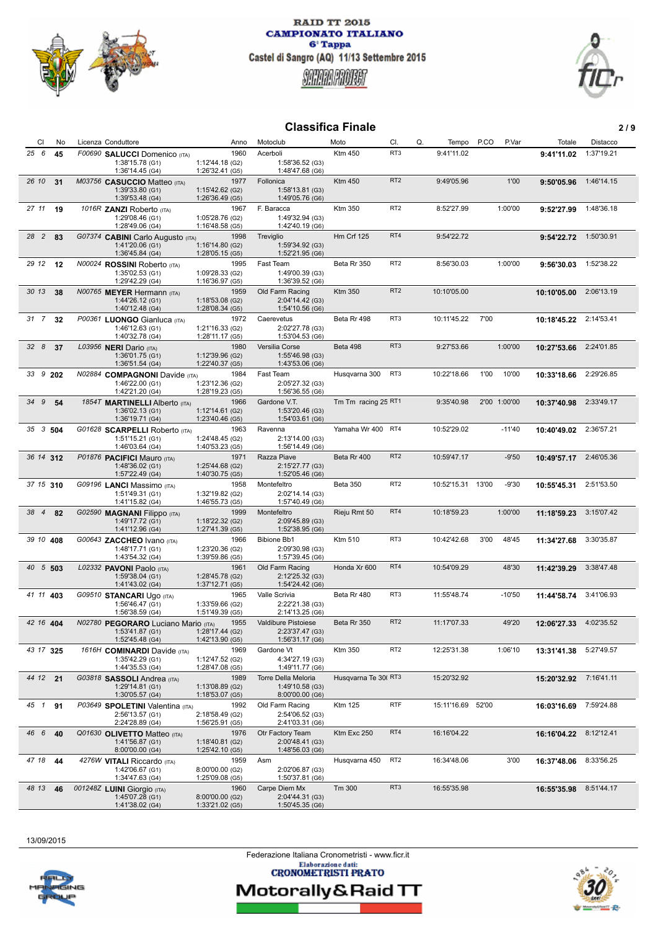



# **Classifica Finale 2 / 9**

| CI<br>No    | Licenza Conduttore                                     | Anno                               | Motoclub                               | Moto                | CI.             | Q.<br>Tempo       | P.CO<br>P.Var | Totale      | Distacco   |
|-------------|--------------------------------------------------------|------------------------------------|----------------------------------------|---------------------|-----------------|-------------------|---------------|-------------|------------|
| 25 6<br>45  | F00690 SALUCCI Domenico (ITA)                          | 1960                               | Acerboli                               | <b>Ktm 450</b>      | RT3             | 9:41'11.02        |               | 9:41'11.02  | 1:37'19.21 |
|             | 1:38'15.78 (G1)<br>1:36'14.45 (G4)                     | 1:12'44.18 (G2)<br>1:26'32.41 (G5) | 1:58'36.52 (G3)<br>1:48'47.68 (G6)     |                     |                 |                   |               |             |            |
| 26 10<br>31 | M03756 CASUCCIO Matteo (ITA)                           | 1977                               | Follonica                              | <b>Ktm 450</b>      | RT <sub>2</sub> | 9:49'05.96        | 1'00          | 9:50'05.96  | 1:46'14.15 |
|             | 1:39'33.80 (G1)<br>1:39'53.48 (G4)                     | 1:15'42.62 (G2)<br>1:26'36.49 (G5) | 1:58'13.81 (G3)<br>1:49'05.76 (G6)     |                     |                 |                   |               |             |            |
| 27 11<br>19 | 1016R ZANZI Roberto (ITA)                              | 1967                               | F. Baracca                             | Ktm 350             | RT <sub>2</sub> | 8:52'27.99        | 1:00'00       | 9:52'27.99  | 1:48'36.18 |
|             | 1:29'08.46 (G1)<br>1:28'49.06 (G4)                     | 1:05'28.76 (G2)<br>1:16'48.58 (G5) | 1:49'32.94 (G3)<br>1:42'40.19 (G6)     |                     |                 |                   |               |             |            |
| 28 2<br>83  | G07374 CABINI Carlo Augusto (ITA)                      | 1998                               | Treviglio                              | <b>Hm Crf 125</b>   | RT4             | 9:54'22.72        |               | 9:54'22.72  | 1:50'30.91 |
|             | 1:41'20.06 (G1)<br>1:36'45.84 (G4)                     | 1:16'14.80 (G2)<br>1:28'05.15 (G5) | 1:59'34.92 (G3)<br>1:52'21.95 (G6)     |                     |                 |                   |               |             |            |
| 29 12<br>12 | N00024 ROSSINI Roberto (ITA)                           | 1995                               | Fast Team                              | Beta Rr 350         | RT <sub>2</sub> | 8:56'30.03        | 1:00'00       | 9:56'30.03  | 1:52'38.22 |
|             | 1:35'02.53 (G1)<br>1:29'42.29 (G4)                     | 1:09'28.33 (G2)<br>1:16'36.97 (G5) | 1:49'00.39 (G3)                        |                     |                 |                   |               |             |            |
| 30 13<br>38 | N00765 MEYER Hermann (ITA)                             | 1959                               | 1:36'39.52 (G6)<br>Old Farm Racing     | <b>Ktm 350</b>      | RT <sub>2</sub> | 10:10'05.00       |               | 10:10'05.00 | 2:06'13.19 |
|             | 1:44'26.12 (G1)                                        | 1:18'53.08 (G2)                    | 2:04'14.42 (G3)                        |                     |                 |                   |               |             |            |
| 31 7<br>32  | 1:40'12.48 (G4)<br>P00361 LUONGO Gianluca (ITA)        | 1:28'08.34 (G5)<br>1972            | 1:54'10.56 (G6)<br>Caerevetus          | Beta Rr 498         | RT3             | 10:11'45.22       | 7'00          | 10:18'45.22 | 2:14'53.41 |
|             | 1:46'12.63 (G1)                                        | 1:21'16.33 (G2)                    | 2:02'27.78 (G3)                        |                     |                 |                   |               |             |            |
| 328<br>37   | 1:40'32.78 (G4)<br>L03956 NERI Dario (ITA)             | 1:28'11.17 (G5)<br>1980            | 1:53'04.53 (G6)<br>Versilia Corse      | Beta 498            | RT <sub>3</sub> | 9:27'53.66        | 1:00'00       | 10:27'53.66 | 2:24'01.85 |
|             | 1:36'01.75 (G1)                                        | 1:12'39.96 (G2)                    | 1:55'46.98 (G3)                        |                     |                 |                   |               |             |            |
| 33 9 202    | 1:36'51.54 (G4)                                        | 1:22'40.37 (G5)<br>1984            | 1:43'53.06 (G6)<br>Fast Team           | Husqvarna 300       | RT3             | 10:22'18.66       | 1'00<br>10'00 |             | 2:29'26.85 |
|             | N02884 COMPAGNONI Davide (ITA)<br>1:46'22.00 (G1)      | 1:23'12.36 (G2)                    | 2:05'27.32 (G3)                        |                     |                 |                   |               | 10:33'18.66 |            |
| 34 9        | 1:42'21.20 (G4)                                        | 1:28'19.23 (G5)<br>1966            | 1:56'36.55 (G6)<br>Gardone V.T.        |                     |                 | 9:35'40.98        | 2'00 1:00'00  |             | 2:33'49.17 |
| 54          | 1854T MARTINELLI Alberto (ITA)<br>1:36'02.13 (G1)      | 1:12'14.61 (G2)                    | 1:53'20.46 (G3)                        | Tm Tm racing 25 RT1 |                 |                   |               | 10:37'40.98 |            |
|             | 1:36'19.71 (G4)                                        | 1:23'40.46 (G5)                    | 1:54'03.61 (G6)                        |                     |                 |                   |               |             |            |
| 35 3 504    | G01628 SCARPELLI Roberto (ITA)<br>1:51'15.21 (G1)      | 1963<br>1:24'48.45 (G2)            | Ravenna<br>2:13'14.00 (G3)             | Yamaha Wr 400 RT4   |                 | 10:52'29.02       | $-11'40$      | 10:40'49.02 | 2:36'57.21 |
|             | 1:46'03.64 (G4)                                        | 1:40'53.23 (G5)                    | 1:56'14.49 (G6)                        |                     |                 |                   |               |             |            |
| 36 14 312   | P01876 PACIFICI Mauro (ITA)<br>1:48'36.02 (G1)         | 1971<br>1:25'44.68 (G2)            | Razza Piave<br>2:15'27.77 (G3)         | Beta Rr 400         | RT <sub>2</sub> | 10:59'47.17       | $-9'50$       | 10:49'57.17 | 2:46'05.36 |
|             | 1:57'22.49 (G4)                                        | 1:40'30.75 (G5)                    | 1:52'05.46 (G6)                        |                     |                 |                   |               |             |            |
| 37 15 310   | G09196 LANCI Massimo (ITA)<br>1:51'49.31 (G1)          | 1958<br>1:32'19.82 (G2)            | Montefeltro<br>2:02'14.14 (G3)         | <b>Beta 350</b>     | RT <sub>2</sub> | 10:52'15.31 13'00 | $-9'30$       | 10:55'45.31 | 2:51'53.50 |
|             | 1:41'15.82 (G4)                                        | 1:46'55.73 (G5)                    | 1:57'40.49 (G6)                        |                     |                 |                   |               |             |            |
| 38 4<br>82  | G02590 MAGNANI Filippo (ITA)<br>1:49'17.72 (G1)        | 1999<br>1:18'22.32 (G2)            | Montefeltro<br>2:09'45.89 (G3)         | Rieju Rmt 50        | RT4             | 10:18'59.23       | 1:00'00       | 11:18'59.23 | 3:15'07.42 |
|             | 1:41'12.96 (G4)                                        | 1:27'41.39 (G5)                    | 1:52'38.95 (G6)                        |                     |                 |                   |               |             |            |
| 39 10 408   | G00643 ZACCHEO Ivano (ITA)<br>1:48'17.71 (G1)          | 1966<br>1:23'20.36 (G2)            | <b>Bibione Bb1</b><br>2:09'30.98 (G3)  | Ktm 510             | RT3             | 10:42'42.68       | 3'00<br>48'45 | 11:34'27.68 | 3:30'35.87 |
|             | 1:43'54.32 (G4)                                        | 1:39'59.86 (G5)                    | 1:57'39.45 (G6)                        |                     |                 |                   |               |             |            |
| 40 5 503    | L02332 PAVONI Paolo (ITA)<br>1:59'38.04 (G1)           | 1961<br>1:28'45.78 (G2)            | Old Farm Racing<br>2:12'25.32 (G3)     | Honda Xr 600        | RT4             | 10:54'09.29       | 48'30         | 11:42'39.29 | 3:38'47.48 |
|             | 1:41'43.02 (G4)                                        | 1:37'12.71 (G5)                    | 1:54'24.42 (G6)                        |                     |                 |                   |               |             |            |
| 41 11 403   | G09510 STANCARI Ugo (ITA)<br>1:56'46.47 (G1)           | 1965<br>1:33'59.66 (G2)            | Valle Scrivia<br>2:22'21.38 (G3)       | Beta Rr 480         | RT3             | 11:55'48.74       | $-10'50$      | 11:44'58.74 | 3:41'06.93 |
|             | 1:56'38.59 (G4)                                        | 1:51'49.39 (G5)                    | 2:14'13.25 (G6)                        |                     |                 |                   |               |             |            |
| 42 16 404   | N02780 PEGORARO Luciano Mario (ITA)<br>1:53'41.87 (G1) | 1955<br>1:28'17.44 (G2)            | Valdibure Pistoiese<br>2:23'37.47 (G3) | Beta Rr 350         | RT <sub>2</sub> | 11:17'07.33       | 49'20         | 12:06'27.33 | 4:02'35.52 |
|             | 1:52'45.48 (G4)                                        | 1:42'13.90 (G5)                    | 1:56'31.17 (G6)                        |                     |                 |                   |               |             |            |
| 43 17 325   | 1616H <b>COMINARDI</b> Davide (ITA)<br>1:35'42.29 (G1) | 1969<br>1:12'47.52 (G2)            | Gardone Vt<br>4:34'27.19 (G3)          | Ktm 350             | RT <sub>2</sub> | 12:25'31.38       | 1:06'10       | 13:31'41.38 | 5:27'49.57 |
|             | 1:44'35.53 (G4)                                        | 1:28'47.08 (G5)                    | 1:49'11.77 (G6)                        |                     |                 |                   |               |             |            |
| 44 12 21    | G03818 SASSOLI Andrea (ITA)<br>1:29'14.81 (G1)         | 1989<br>1:13'08.89 (G2)            | Torre Della Meloria<br>1:49'10.58 (G3) | Husqvarna Te 30(RT3 |                 | 15:20'32.92       |               | 15:20'32.92 | 7:16'41.11 |
|             | 1:30'05.57 (G4)                                        | 1:18'53.07 (G5)                    | 8:00'00.00 (G6)                        |                     |                 |                   |               |             |            |
| 45 1<br>91  | P03649 SPOLETINI Valentina (ITA)<br>2:56'13.57 (G1)    | 1992<br>2:18'58.49 (G2)            | Old Farm Racing<br>2:54'06.52 (G3)     | Ktm 125             | <b>RTF</b>      | 15:11'16.69 52'00 |               | 16:03'16.69 | 7:59'24.88 |
|             | 2:24'28.89 (G4)                                        | 1:56'25.91 (G5)                    | 2:41'03.31 (G6)                        |                     |                 |                   |               |             |            |
| 46 6<br>40  | Q01630 OLIVETTO Matteo (ITA)                           | 1976                               | Otr Factory Team                       | Ktm Exc 250         | RT4             | 16:16'04.22       |               | 16:16'04.22 | 8:12'12.41 |
|             | 1:41'56.87 (G1)<br>8:00'00.00 (G4)                     | 1:18'40.81 (G2)<br>1:25'42.10 (G5) | 2:00'48.41 (G3)<br>1:48'56.03 (G6)     |                     |                 |                   |               |             |            |
| 47 18<br>44 | 4276W VITALI Riccardo (ITA)                            | 1959                               | Asm                                    | Husqvarna 450       | RT <sub>2</sub> | 16:34'48.06       | 3'00          | 16:37'48.06 | 8:33'56.25 |
|             | 1:42'06.67 (G1)<br>1:34'47.63 (G4)                     | 8:00'00.00 (G2)<br>1:25'09.08 (G5) | 2:02'06.87 (G3)<br>1:50'37.81 (G6)     |                     |                 |                   |               |             |            |
| 48 13<br>46 | 001248Z LUINI Giorgio (ITA)                            | 1960                               | Carpe Diem Mx                          | Tm 300              | RT3             | 16:55'35.98       |               | 16:55'35.98 | 8:51'44.17 |
|             | 1:45'07.28 (G1)<br>1:41'38.02 (G4)                     | 8:00'00.00 (G2)<br>1:33'21.02 (G5) | 2:04'44.31 (G3)<br>1:50'45.35 (G6)     |                     |                 |                   |               |             |            |

13/09/2015

Federazione Italiana Cronometristi - www.ficr.it<br>Elaborazione dati:<br>CRONOMETRISTI PRATO



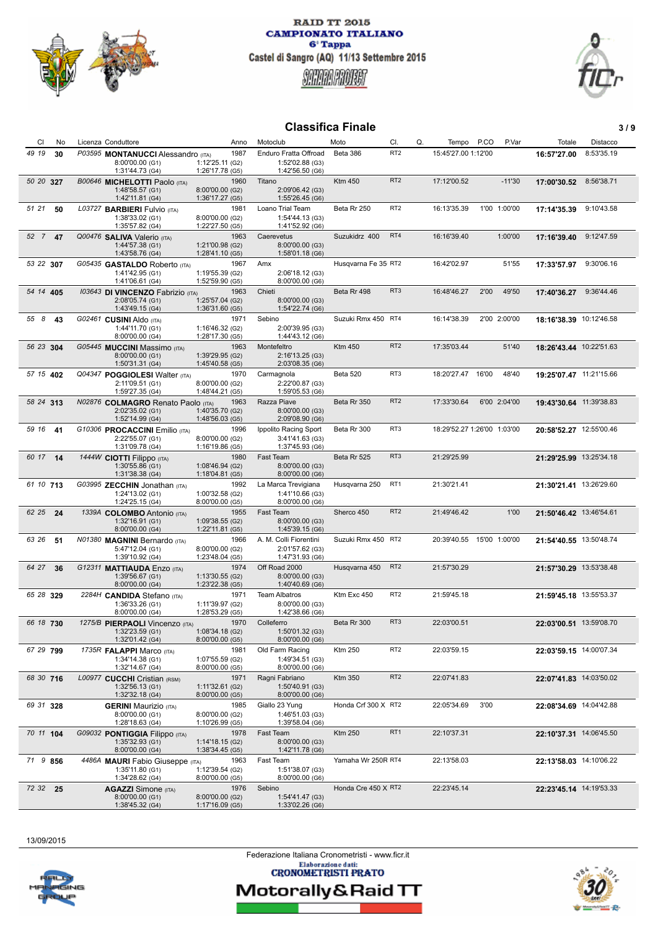



#### **Classifica Finale** 3/9

| CI<br>No      | Licenza Conduttore                                   | Anno                               | Motoclub                                | Moto                | CI.             | Q.<br>Tempo                 | P.CO | P.Var        | Totale                  | Distacco   |
|---------------|------------------------------------------------------|------------------------------------|-----------------------------------------|---------------------|-----------------|-----------------------------|------|--------------|-------------------------|------------|
| 49 19<br>30   | P03595 MONTANUCCI Alessandro (ITA)                   | 1987                               | Enduro Fratta Offroad                   | Beta 386            | RT <sub>2</sub> | 15:45'27.00 1:12'00         |      |              | 16:57'27.00             | 8:53'35.19 |
|               | 8:00'00.00 (G1)                                      | 1:12'25.11 (G2)                    | 1:52'02.88 (G3)                         |                     |                 |                             |      |              |                         |            |
| 50 20 327     | 1:31'44.73 (G4)                                      | 1:26'17.78 (G5)<br>1960            | 1:42'56.50 (G6)<br>Titano               | <b>Ktm 450</b>      | RT <sub>2</sub> | 17:12'00.52                 |      | $-11'30$     |                         | 8:56'38.71 |
|               | B00646 MICHELOTTI Paolo (ITA)<br>1:48'58.57 (G1)     | 8:00'00.00 (G2)                    | 2:09'06.42 (G3)                         |                     |                 |                             |      |              | 17:00'30.52             |            |
|               | 1:42'11.81 (G4)                                      | 1:36'17.27 (G5)                    | 1:55'26.45 (G6)                         |                     |                 |                             |      |              |                         |            |
| 51 21<br>50   | L03727 BARBIERI Fulvio (ITA)                         | 1981                               | Loano Trial Team                        | Beta Rr 250         | RT <sub>2</sub> | 16:13'35.39                 |      | 1'00 1:00'00 | 17:14'35.39             | 9:10'43.58 |
|               | 1:38'33.02 (G1)<br>1:35'57.82 (G4)                   | 8:00'00.00 (G2)<br>1:22'27.50 (G5) | 1:54'44.13 (G3)<br>1:41'52.92 (G6)      |                     |                 |                             |      |              |                         |            |
| 52 7<br>47    | Q00476 SALIVA Valerio (ITA)                          | 1963                               | Caerevetus                              | Suzukidrz 400       | RT4             | 16:16'39.40                 |      | 1:00'00      | 17:16'39.40             | 9:12'47.59 |
|               | 1:44'57.38 (G1)                                      | 1:21'00.98 (G2)                    | 8:00'00.00 (G3)                         |                     |                 |                             |      |              |                         |            |
| 53 22 307     | 1:43'58.76 (G4)<br>G05435 GASTALDO Roberto (ITA)     | 1:28'41.10 (G5)<br>1967            | 1:58'01.18 (G6)<br>Amx                  | Husqvarna Fe 35 RT2 |                 | 16:42'02.97                 |      | 51'55        | 17:33'57.97             | 9:30'06.16 |
|               | 1:41'42.95 (G1)                                      | 1:19'55.39 (G2)                    | 2:06'18.12 (G3)                         |                     |                 |                             |      |              |                         |            |
|               | 1:41'06.61 (G4)                                      | 1:52'59.90 (G5)                    | 8:00'00.00 (G6)                         |                     |                 |                             |      |              |                         |            |
| 54 14 405     | 103643 DI VINCENZO Fabrizio (ITA)<br>2:08'05.74 (G1) | 1963<br>1:25'57.04 (G2)            | Chieti<br>8:00'00.00 (G3)               | Beta Rr 498         | RT <sub>3</sub> | 16:48'46.27                 | 2'00 | 49'50        | 17:40'36.27             | 9:36'44.46 |
|               | 1:43'49.15 (G4)                                      | 1:36'31.60 (G5)                    | 1:54'22.74 (G6)                         |                     |                 |                             |      |              |                         |            |
| 55 8<br>43    | G02461 CUSINI Aldo (ITA)                             | 1971                               | Sebino                                  | Suzuki Rmx 450 RT4  |                 | 16:14'38.39                 |      | 2'00 2:00'00 | 18:16'38.39 10:12'46.58 |            |
|               | 1:44'11.70 (G1)<br>8:00'00.00 (G4)                   | 1:16'46.32 (G2)<br>1:28'17.30 (G5) | 2:00'39.95 (G3)<br>1:44'43.12 (G6)      |                     |                 |                             |      |              |                         |            |
| 56 23 304     | G05445 MUCCINI Massimo (ITA)                         | 1963                               | Montefeltro                             | <b>Ktm 450</b>      | RT <sub>2</sub> | 17:35'03.44                 |      | 51'40        | 18:26'43.44 10:22'51.63 |            |
|               | 8:00'00.00 (G1)                                      | 1:39'29.95 (G2)                    | 2:16'13.25 (G3)                         |                     |                 |                             |      |              |                         |            |
|               | 1:50'31.31 (G4)                                      | 1:45'40.58 (G5)                    | 2:03'08.35 (G6)                         |                     |                 |                             |      |              |                         |            |
| 57 15 402     | Q04347 POGGIOLESI Walter (ITA)<br>2:11'09.51 (G1)    | 1970<br>8:00'00.00 (G2)            | Carmagnola<br>2:22'00.87 (G3)           | Beta 520            | RT3             | 18:20'27.47 16'00           |      | 48'40        | 19:25'07.47 11:21'15.66 |            |
|               | 1:59'27.35 (G4)                                      | 1:48'44.21 (G5)                    | 1:59'05.53 (G6)                         |                     |                 |                             |      |              |                         |            |
| 58 24 313     | N02876 COLMAGRO Renato Paolo (ITA)                   | 1963                               | Razza Piave                             | Beta Rr 350         | RT <sub>2</sub> | 17:33'30.64                 |      | 6'00 2:04'00 | 19:43'30.64 11:39'38.83 |            |
|               | 2:02'35.02 (G1)<br>1:52'14.99 (G4)                   | 1:40'35.70 (G2)<br>1:48'56.03 (G5) | 8:00'00.00 (G3)<br>2:09'08.90 (G6)      |                     |                 |                             |      |              |                         |            |
| 59 16<br>- 41 | G10306 PROCACCINI Emilio (ITA)                       | 1996                               | Ippolito Racing Sport                   | Beta Rr 300         | RT3             | 18:29'52.27 1:26'00 1:03'00 |      |              | 20:58'52.27 12:55'00.46 |            |
|               | 2:22'55.07 (G1)                                      | 8:00'00.00 (G2)                    | 3:41'41.63 (G3)                         |                     |                 |                             |      |              |                         |            |
| 60 17 14      | 1:31'09.78 (G4)<br>1444W CIOTTI Filippo (ITA)        | 1:16'19.86 (G5)<br>1980            | 1:37'45.93 (G6)<br>Fast Team            | Beta Rr 525         | RT <sub>3</sub> | 21:29'25.99                 |      |              | 21:29'25.99 13:25'34.18 |            |
|               | 1:30'55.86 (G1)                                      | 1:08'46.94 (G2)                    | 8:00'00.00 (G3)                         |                     |                 |                             |      |              |                         |            |
|               | 1:31'38.38 (G4)                                      | 1:18'04.81 (G5)                    | 8:00'00.00 (G6)                         |                     |                 |                             |      |              |                         |            |
| 61 10 713     | G03995 ZECCHIN Jonathan (ITA)<br>1:24'13.02 (G1)     | 1992<br>1:00'32.58 (G2)            | La Marca Trevigiana<br>1:41'10.66 (G3)  | Husqvarna 250       | RT <sub>1</sub> | 21:30'21.41                 |      |              | 21:30'21.41 13:26'29.60 |            |
|               | 1:24'25.15 (G4)                                      | 8:00'00.00 (G5)                    | 8:00'00.00 (G6)                         |                     |                 |                             |      |              |                         |            |
| 62 25<br>24   | 1339A COLOMBO Antonio (ITA)                          | 1955                               | Fast Team                               | Sherco 450          | RT <sub>2</sub> | 21:49'46.42                 |      | 1'00         | 21:50'46.42 13:46'54.61 |            |
|               | 1:32'16.91 (G1)<br>8:00'00.00 (G4)                   | 1:09'38.55 (G2)<br>1:22'11.81 (G5) | 8:00'00.00 (G3)<br>1:45'39.15 (G6)      |                     |                 |                             |      |              |                         |            |
| 63 26<br>51   | N01380 MAGNINI Bernardo (ITA)                        | 1966                               | A. M. Colli Fiorentini                  | Suzuki Rmx 450 RT2  |                 | 20:39'40.55 15'00 1:00'00   |      |              | 21:54'40.55 13:50'48.74 |            |
|               | 5:47'12.04 (G1)                                      | 8:00'00.00 (G2)                    | 2:01'57.62 (G3)                         |                     |                 |                             |      |              |                         |            |
| 64 27         | 1:39'10.92 (G4)<br>G12311 MATTIAUDA Enzo (ITA)       | 1:23'48.04 (G5)<br>1974            | 1:47'31.93 (G6)<br>Off Road 2000        | Husqvarna 450       | RT <sub>2</sub> | 21:57'30.29                 |      |              | 21:57'30.29 13:53'38.48 |            |
| 36            | 1:39'56.67 (G1)                                      | 1:13'30.55 (G2)                    | 8:00'00.00 (G3)                         |                     |                 |                             |      |              |                         |            |
|               | 8:00'00.00 (G4)                                      | 1:23'22.38 (G5)                    | 1:40'40.69 (G6)                         |                     |                 |                             |      |              |                         |            |
| 65 28 329     | 2284H CANDIDA Stefano (ITA)<br>1:36'33.26 (G1)       | 1971<br>1:11'39.97 (G2)            | <b>Team Albatros</b><br>8:00'00.00 (G3) | Ktm Exc 450         | RT <sub>2</sub> | 21:59'45.18                 |      |              | 21:59'45.18 13:55'53.37 |            |
|               | 8:00'00.00 (G4)                                      | 1:28'53.29 (G5)                    | 1:42'38.66 (G6)                         |                     |                 |                             |      |              |                         |            |
| 66 18 730     | 1275/B PIERPAOLI Vincenzo (ITA)                      | 1970                               | Colleferro                              | Beta Rr 300         | RT3             | 22:03'00.51                 |      |              | 22:03'00.51 13:59'08.70 |            |
|               | 1:32'23.59 (G1)<br>1:32'01.42 (G4)                   | 1:08'34.18 (G2)<br>8:00'00.00 (G5) | 1:50'01.32 (G3)<br>8:00'00.00 (G6)      |                     |                 |                             |      |              |                         |            |
| 67 29 799     | 1735R <b>FALAPPI</b> Marco (ITA)                     | 1981                               | Old Farm Racing                         | Ktm 250             | RT <sub>2</sub> | 22:03'59.15                 |      |              | 22:03'59.15 14:00'07.34 |            |
|               | 1:34'14.38 (G1)                                      | 1:07'55.59 (G2)                    | 1:49'34.51 (G3)                         |                     |                 |                             |      |              |                         |            |
| 68 30 716     | 1:32'14.67 (G4)<br>L00977 CUCCHI Cristian (RSM)      | 8:00'00.00 (G5)<br>1971            | 8:00'00.00 (G6)<br>Ragni Fabriano       | <b>Ktm 350</b>      | RT <sub>2</sub> | 22:07'41.83                 |      |              | 22:07'41.83 14:03'50.02 |            |
|               | 1:32'56.13(G1)                                       | 1:11'32.61 (G2)                    | 1:50'40.91 (G3)                         |                     |                 |                             |      |              |                         |            |
|               | 1:32'32.18 (G4)                                      | 8:00'00.00 (G5)                    | 8:00'00.00 (G6)                         |                     |                 |                             |      |              |                         |            |
| 69 31 328     | <b>GERINI</b> Maurizio (ITA)<br>8:00'00.00 (G1)      | 1985<br>8:00'00.00 (G2)            | Giallo 23 Yung<br>1:46'51.03 (G3)       | Honda Crf 300 X RT2 |                 | 22:05'34.69                 | 3'00 |              | 22:08'34.69 14:04'42.88 |            |
|               | 1:28'18.63 (G4)                                      | 1:10'26.99 (G5)                    | 1:39'58.04 (G6)                         |                     |                 |                             |      |              |                         |            |
| 70 11 104     | G09032 PONTIGGIA Filippo (ITA)                       | 1978                               | Fast Team                               | Ktm 250             | RT <sub>1</sub> | 22:10'37.31                 |      |              | 22:10'37.31 14:06'45.50 |            |
|               | 1:35'32.93 (G1)<br>8:00'00.00 (G4)                   | 1:14'18.15 (G2)<br>1:38'34.45 (G5) | 8:00'00.00 (G3)<br>1:42'11.78 (G6)      |                     |                 |                             |      |              |                         |            |
| 71 9 856      | 4486A MAURI Fabio Giuseppe (ITA)                     | 1963                               | Fast Team                               | Yamaha Wr 250R RT4  |                 | 22:13'58.03                 |      |              | 22:13'58.03 14:10'06.22 |            |
|               | 1:35'11.80 (G1)                                      | 1:12'39.54 (G2)                    | 1:51'38.07 (G3)                         |                     |                 |                             |      |              |                         |            |
|               | 1:34'28.62 (G4)                                      | 8:00'00.00 (G5)                    | 8:00'00.00 (G6)                         |                     |                 |                             |      |              |                         |            |
| 72 32 25      | <b>AGAZZI</b> Simone (ITA)<br>8:00'00.00 (G1)        | 1976<br>8:00'00.00 (G2)            | Sebino<br>1:54'41.47 (G3)               | Honda Cre 450 X RT2 |                 | 22:23'45.14                 |      |              | 22:23'45.14 14:19'53.33 |            |
|               | 1:38'45.32 (G4)                                      | 1:17'16.09 (G5)                    | 1:33'02.26 (G6)                         |                     |                 |                             |      |              |                         |            |

13/09/2015



Federazione Italiana Cronometristi - www.ficr.it<br>Elaborazione dati:<br>CRONOMETRISTI PRATO

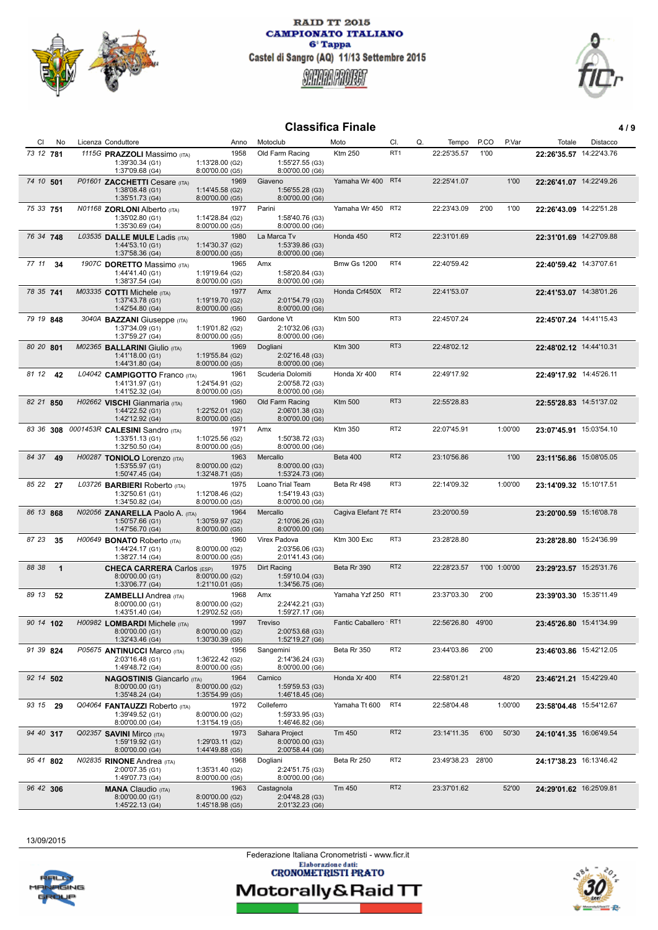



## **Classifica Finale 4/9**

| CI        | No           | Licenza Conduttore |                                                  | Anno                               | Motoclub                           | Moto                   | CI.             | Q.<br>Tempo       | P.CO  | P.Var        | Totale                  | Distacco |
|-----------|--------------|--------------------|--------------------------------------------------|------------------------------------|------------------------------------|------------------------|-----------------|-------------------|-------|--------------|-------------------------|----------|
| 73 12 781 |              |                    | 1115G PRAZZOLI Massimo (ITA)                     | 1958                               | Old Farm Racing                    | <b>Ktm 250</b>         | RT <sub>1</sub> | 22:25'35.57       | 1'00  |              | 22:26'35.57 14:22'43.76 |          |
|           |              |                    | 1:39'30.34 (G1)                                  | 1:13'28.00 (G2)                    | 1:55'27.55 (G3)                    |                        |                 |                   |       |              |                         |          |
|           |              |                    | 1:37'09.68 (G4)                                  | 8:00'00.00 (G5)                    | 8:00'00.00 (G6)                    |                        |                 |                   |       |              |                         |          |
| 74 10 501 |              |                    | P01601 ZACCHETTI Cesare (ITA)                    | 1969                               | Giaveno                            | Yamaha Wr 400 RT4      |                 | 22:25'41.07       |       | 1'00         | 22:26'41.07 14:22'49.26 |          |
|           |              |                    | 1:38'08.48 (G1)                                  | 1:14'45.58 (G2)                    | 1:56'55.28 (G3)                    |                        |                 |                   |       |              |                         |          |
|           |              |                    | 1:35'51.73 (G4)                                  | 8:00'00.00 (G5)                    | 8:00'00.00 (G6)                    |                        |                 |                   |       |              |                         |          |
| 75 33 751 |              |                    | N01168 ZORLONI Alberto (ITA)                     | 1977                               | Parini                             | Yamaha Wr 450          | RT <sub>2</sub> | 22:23'43.09       | 2'00  | 1'00         | 22:26'43.09 14:22'51.28 |          |
|           |              |                    | 1:35'02.80 (G1)                                  | 1:14'28.84 (G2)                    | 1:58'40.76 (G3)                    |                        |                 |                   |       |              |                         |          |
|           |              |                    | 1:35'30.69 (G4)                                  | 8:00'00.00 (G5)                    | 8:00'00.00 (G6)                    |                        |                 |                   |       |              |                         |          |
| 76 34 748 |              |                    | L03535 DALLE MULE Ladis (ITA)                    | 1980                               | La Marca Tv                        | Honda 450              | RT <sub>2</sub> | 22:31'01.69       |       |              | 22:31'01.69 14:27'09.88 |          |
|           |              |                    | 1:44'53.10 (G1)                                  | 1:14'30.37 (G2)                    | 1:53'39.86 (G3)                    |                        |                 |                   |       |              |                         |          |
|           |              |                    | 1:37'58.36 (G4)                                  | 8:00'00.00 (G5)                    | 8:00'00.00 (G6)                    |                        |                 |                   |       |              |                         |          |
| 77 11     | -34          |                    | 1907C DORETTO Massimo (ITA)                      | 1965                               | Amx                                | <b>Bmw Gs 1200</b>     | RT4             | 22:40'59.42       |       |              | 22:40'59.42 14:37'07.61 |          |
|           |              |                    | 1:44'41.40 (G1)                                  | 1:19'19.64 (G2)                    | 1:58'20.84 (G3)                    |                        |                 |                   |       |              |                         |          |
|           |              |                    | 1:38'37.54 (G4)                                  | 8:00'00.00 (G5)                    | 8:00'00.00 (G6)                    |                        |                 |                   |       |              |                         |          |
| 78 35 741 |              |                    | M03335 COTTI Michele (ITA)                       | 1977                               | Amx                                | Honda Crf450X          | RT <sub>2</sub> | 22:41'53.07       |       |              | 22:41'53.07 14:38'01.26 |          |
|           |              |                    | 1:37'43.78 (G1)                                  | 1:19'19.70 (G2)                    | 2:01'54.79 (G3)                    |                        |                 |                   |       |              |                         |          |
|           |              |                    | 1:42'54.80 (G4)                                  | 8:00'00.00 (G5)                    | 8:00'00.00 (G6)                    |                        |                 |                   |       |              |                         |          |
| 79 19 848 |              |                    | 3040A BAZZANI Giuseppe (ITA)                     | 1960                               | Gardone Vt                         | <b>Ktm 500</b>         | RT3             | 22:45'07.24       |       |              | 22:45'07.24 14:41'15.43 |          |
|           |              |                    | 1:37'34.09 (G1)                                  | 1:19'01.82 (G2)                    | 2:10'32.06 (G3)                    |                        |                 |                   |       |              |                         |          |
|           |              |                    | 1:37'59.27 (G4)                                  | 8:00'00.00 (G5)                    | 8:00'00.00 (G6)                    |                        |                 |                   |       |              |                         |          |
| 80 20 801 |              |                    | M02365 BALLARINI Giulio (ITA)                    | 1969                               | Dogliani                           | <b>Ktm 300</b>         | RT <sub>3</sub> | 22:48'02.12       |       |              | 22:48'02.12 14:44'10.31 |          |
|           |              |                    | 1:41'18.00 (G1)                                  | 1:19'55.84 (G2)                    | 2:02'16.48 (G3)                    |                        |                 |                   |       |              |                         |          |
|           |              |                    | 1:44'31.80 (G4)                                  | 8:00'00.00 (G5)                    | 8:00'00.00 (G6)                    |                        |                 |                   |       |              |                         |          |
| 81 12 42  |              |                    | L04042 CAMPIGOTTO Franco (ITA)                   | 1961                               | Scuderia Dolomiti                  | Honda Xr 400           | RT4             | 22:49'17.92       |       |              | 22:49'17.92 14:45'26.11 |          |
|           |              |                    | 1:41'31.97 (G1)                                  | 1:24'54.91 (G2)                    | 2:00'58.72 (G3)                    |                        |                 |                   |       |              |                         |          |
|           |              |                    | 1:41'52.32 (G4)                                  | 8:00'00.00 (G5)                    | 8:00'00.00 (G6)                    |                        |                 |                   |       |              |                         |          |
| 82 21 850 |              |                    | H02662 VISCHI Gianmaria (ITA)                    | 1960                               | Old Farm Racing                    | <b>Ktm 500</b>         | RT <sub>3</sub> | 22:55'28.83       |       |              | 22:55'28.83 14:51'37.02 |          |
|           |              |                    | 1:44'22.52 (G1)<br>1:42'12.92 (G4)               | 1:22'52.01 (G2)<br>8:00'00.00 (G5) | 2:06'01.38 (G3)<br>8:00'00.00 (G6) |                        |                 |                   |       |              |                         |          |
|           |              |                    |                                                  |                                    |                                    |                        | RT <sub>2</sub> |                   |       |              |                         |          |
|           |              |                    | 83 36 308 0001453R CALESINI Sandro (ITA)         | 1971                               | Amx                                | <b>Ktm 350</b>         |                 | 22:07'45.91       |       | 1:00'00      | 23:07'45.91 15:03'54.10 |          |
|           |              |                    | 1:33'51.13 (G1)<br>1:32'50.50 (G4)               | 1:10'25.56 (G2)<br>8:00'00.00 (G5) | 1:50'38.72 (G3)<br>8:00'00.00 (G6) |                        |                 |                   |       |              |                         |          |
|           |              |                    |                                                  |                                    |                                    |                        | RT <sub>2</sub> |                   |       |              |                         |          |
| 84 37     | 49           |                    | H00287 TONIOLO Lorenzo (ITA)                     | 1963                               | Mercallo                           | <b>Beta 400</b>        |                 | 23:10'56.86       |       | 1'00         | 23:11'56.86 15:08'05.05 |          |
|           |              |                    | 1:53'55.97 (G1)<br>1:50'47.45 (G4)               | 8:00'00.00 (G2)<br>1:32'48.71 (G5) | 8:00'00.00 (G3)<br>1:53'24.73 (G6) |                        |                 |                   |       |              |                         |          |
| 85 22 27  |              |                    |                                                  | 1975                               | Loano Trial Team                   | Beta Rr 498            | RT3             | 22:14'09.32       |       | 1:00'00      |                         |          |
|           |              |                    | L03726 BARBIERI Roberto (ITA)<br>1:32'50.61 (G1) | 1:12'08.46 (G2)                    | 1:54'19.43 (G3)                    |                        |                 |                   |       |              | 23:14'09.32 15:10'17.51 |          |
|           |              |                    | 1:34'50.82 (G4)                                  | 8:00'00.00 (G5)                    | 8:00'00.00 (G6)                    |                        |                 |                   |       |              |                         |          |
| 86 13 868 |              |                    | N02056 ZANARELLA Paolo A. (ITA)                  | 1964                               | Mercallo                           | Cagiva Elefant 75 RT4  |                 | 23:20'00.59       |       |              | 23:20'00.59 15:16'08.78 |          |
|           |              |                    | 1:50'57.66 (G1)                                  | 1:30'59.97 (G2)                    | 2:10'06.26 (G3)                    |                        |                 |                   |       |              |                         |          |
|           |              |                    | 1:47'56.70 (G4)                                  | 8:00'00.00 (G5)                    | 8:00'00.00 (G6)                    |                        |                 |                   |       |              |                         |          |
| 87 23     | 35           |                    | H00649 BONATO Roberto (ITA)                      | 1960                               | Virex Padova                       | Ktm 300 Exc            | RT3             | 23:28'28.80       |       |              | 23:28'28.80 15:24'36.99 |          |
|           |              |                    | 1:44'24.17 (G1)                                  | 8:00'00.00 (G2)                    | 2:03'56.06 (G3)                    |                        |                 |                   |       |              |                         |          |
|           |              |                    | 1:38'27.14 (G4)                                  | 8:00'00.00 (G5)                    | 2:01'41.43 (G6)                    |                        |                 |                   |       |              |                         |          |
| 88 38     | $\mathbf{1}$ |                    | <b>CHECA CARRERA Carlos (ESP)</b>                | 1975                               | Dirt Racing                        | Beta Rr 390            | RT <sub>2</sub> | 22:28'23.57       |       | 1'00 1:00'00 | 23:29'23.57 15:25'31.76 |          |
|           |              |                    | 8:00'00.00 (G1)                                  | 8:00'00.00 (G2)                    | 1:59'10.04 (G3)                    |                        |                 |                   |       |              |                         |          |
|           |              |                    | 1:33'06.77 (G4)                                  | 1:21'10.01 (G5)                    | 1:34'56.75 (G6)                    |                        |                 |                   |       |              |                         |          |
| 89 13     | 52           |                    | <b>ZAMBELLI</b> Andrea (ITA)                     | 1968                               | Amx                                | Yamaha Yzf 250 RT1     |                 | 23:37'03.30       | 2'00  |              | 23:39'03.30 15:35'11.49 |          |
|           |              |                    | 8:00'00.00 (G1)                                  | 8:00'00.00 (G2)                    | 2:24'42.21 (G3)                    |                        |                 |                   |       |              |                         |          |
|           |              |                    | 1:43'51.40 (G4)                                  | 1:29'02.52 (G5)                    | 1:59'27.17 (G6)                    |                        |                 |                   |       |              |                         |          |
| 90 14 102 |              |                    | H00982 LOMBARDI Michele (ITA)                    | 1997                               | Treviso                            | Fantic Caballero · RT1 |                 | 22:56'26.80 49'00 |       |              | 23:45'26.80 15:41'34.99 |          |
|           |              |                    | 8:00'00.00 (G1)                                  | 8:00'00.00 (G2)                    | 2:00'53.68 (G3)                    |                        |                 |                   |       |              |                         |          |
|           |              |                    | 1:32'43.46 (G4)                                  | 1:30'30.39 (G5)                    | 1:52'19.27 (G6)                    |                        |                 |                   |       |              |                         |          |
| 91 39 824 |              |                    | P05675 ANTINUCCI Marco (ITA)                     | 1956                               | Sangemini                          | Beta Rr 350            | RT <sub>2</sub> | 23:44'03.86       | 2'00  |              | 23:46'03.86 15:42'12.05 |          |
|           |              |                    | 2:03'16.48 (G1)                                  | 1:36'22.42 (G2)                    | 2:14'36.24 (G3)                    |                        |                 |                   |       |              |                         |          |
|           |              |                    | 1:49'48.72 (G4)                                  | 8:00'00.00 (G5)                    | 8:00'00.00 (G6)                    |                        |                 |                   |       |              |                         |          |
| 92 14 502 |              |                    | <b>NAGOSTINIS Giancarlo (ITA)</b>                | 1964                               | Carnico                            | Honda Xr 400           | RT4             | 22:58'01.21       |       | 48'20        | 23:46'21.21 15:42'29.40 |          |
|           |              |                    | 8:00'00.00 (G1)                                  | 8:00'00.00 (G2)                    | 1:59'59.53 (G3)                    |                        |                 |                   |       |              |                         |          |
|           |              |                    | 1:35'48.24 (G4)                                  | 1:35'54.99 (G5)                    | 1:46'18.45 (G6)                    |                        |                 |                   |       |              |                         |          |
| 93 15     | 29           |                    | Q04064 FANTAUZZI Roberto (ITA)                   | 1972                               | Colleferro                         | Yamaha Tt 600          | RT4             | 22:58'04.48       |       | 1:00'00      | 23:58'04.48 15:54'12.67 |          |
|           |              |                    | 1:39'49.52 (G1)                                  | 8:00'00.00 (G2)                    | 1:59'33.95 (G3)                    |                        |                 |                   |       |              |                         |          |
|           |              |                    | 8:00'00.00 (G4)                                  | 1:31'54.19 (G5)                    | 1:46'46.82 (G6)                    |                        |                 |                   |       |              |                         |          |
| 94 40 317 |              |                    | Q02357 SAVINI Mirco (ITA)                        | 1973                               | Sahara Project                     | Tm 450                 | RT <sub>2</sub> | 23:14'11.35       | 6'00  | 50'30        | 24:10'41.35 16:06'49.54 |          |
|           |              |                    | 1:59'19.92 (G1)                                  | 1:29'03.11 (G2)                    | 8:00'00.00 (G3)                    |                        |                 |                   |       |              |                         |          |
|           |              |                    | 8:00'00.00 (G4)                                  | 1:44'49.88 (G5)                    | 2:00'58.44 (G6)                    |                        |                 |                   |       |              |                         |          |
| 95 41 802 |              |                    | N02835 RINONE Andrea (ITA)                       | 1968                               | Dogliani                           | Beta Rr 250            | RT <sub>2</sub> | 23:49'38.23       | 28'00 |              | 24:17'38.23 16:13'46.42 |          |
|           |              |                    | 2:00'07.35 (G1)                                  | 1:35'31.40 (G2)                    | 2:24'51.75 (G3)                    |                        |                 |                   |       |              |                         |          |
|           |              |                    | 1:49'07.73 (G4)                                  | 8:00'00.00 (G5)                    | 8:00'00.00 (G6)                    |                        |                 |                   |       |              |                         |          |
| 96 42 306 |              |                    | <b>MANA</b> Claudio (ITA)                        | 1963                               | Castagnola                         | Tm 450                 | RT <sub>2</sub> | 23:37'01.62       |       | 52'00        | 24:29'01.62 16:25'09.81 |          |
|           |              |                    | 8:00'00.00 (G1)                                  | 8:00'00.00 (G2)                    | 2:04'48.28 (G3)                    |                        |                 |                   |       |              |                         |          |
|           |              |                    | 1:45'22.13 (G4)                                  | 1:45'18.98 (G5)                    | 2:01'32.23 (G6)                    |                        |                 |                   |       |              |                         |          |

13/09/2015

Federazione Italiana Cronometristi - www.ficr.it<br>Elaborazione dati:<br>CRONOMETRISTI PRATO



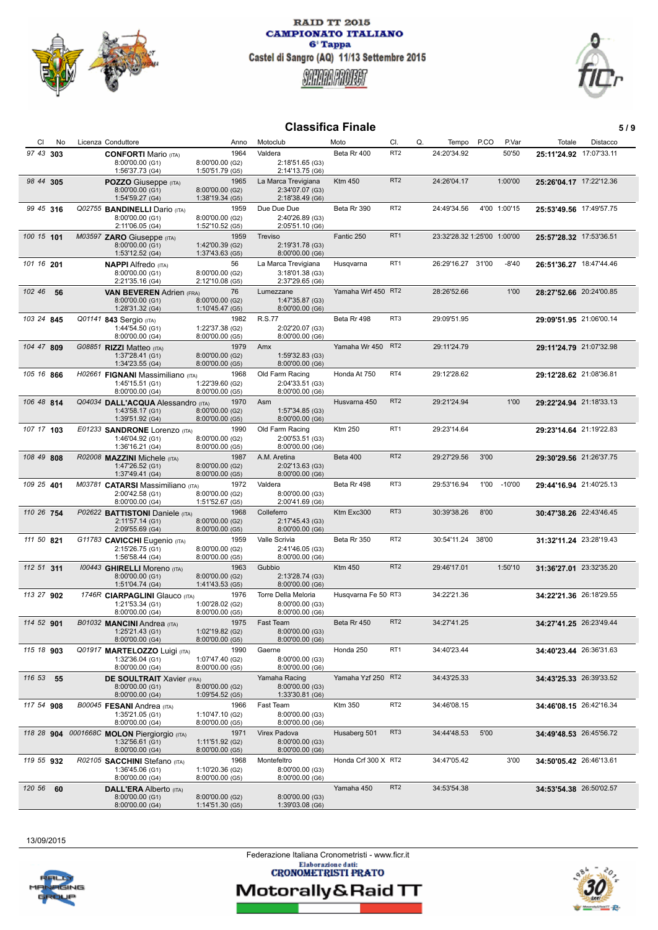



## **Classifica Finale** 5/9

| CI         | No | Licenza Conduttore                                        | Anno                               | Motoclub                               | Moto                | CI.             | Q.<br>Tempo                 | P.CO  | P.Var        | Totale                  | Distacco |
|------------|----|-----------------------------------------------------------|------------------------------------|----------------------------------------|---------------------|-----------------|-----------------------------|-------|--------------|-------------------------|----------|
| 97 43 303  |    | <b>CONFORTI Mario (ITA)</b>                               | 1964                               | Valdera                                | Beta Rr 400         | RT <sub>2</sub> | 24:20'34.92                 |       | 50'50        | 25:11'24.92 17:07'33.11 |          |
|            |    | 8:00'00.00 (G1)<br>1:56'37.73 (G4)                        | 8:00'00.00 (G2)<br>1:50'51.79 (G5) | 2:18'51.65 (G3)<br>2:14'13.75 (G6)     |                     |                 |                             |       |              |                         |          |
| 98 44 305  |    | <b>POZZO</b> Giuseppe (ITA)                               | 1965                               | La Marca Trevigiana                    | <b>Ktm 450</b>      | RT <sub>2</sub> | 24:26'04.17                 |       | 1:00'00      | 25:26'04.17 17:22'12.36 |          |
|            |    | 8:00'00.00 (G1)<br>1:54'59.27 (G4)                        | 8:00'00.00 (G2)<br>1:38'19.34 (G5) | 2:34'07.07 (G3)<br>2:18'38.49 (G6)     |                     |                 |                             |       |              |                         |          |
| 99 45 316  |    | Q02755 BANDINELLI Dario (ITA)                             | 1959                               | Due Due Due                            | Beta Rr 390         | RT <sub>2</sub> | 24:49'34.56                 |       | 4'00 1:00'15 | 25:53'49.56 17:49'57.75 |          |
|            |    | 8:00'00.00 (G1)                                           | 8:00'00.00 (G2)                    | 2:40'26.89 (G3)                        |                     |                 |                             |       |              |                         |          |
| 100 15 101 |    | 2:11'06.05 (G4)<br>M03597 ZARO Giuseppe (ITA)             | 1:52'10.52 (G5)<br>1959            | 2:05'51.10 (G6)<br>Treviso             | Fantic 250          | RT <sub>1</sub> | 23:32'28.32 1:25'00 1:00'00 |       |              | 25:57'28.32 17:53'36.51 |          |
|            |    | 8:00'00.00 (G1)                                           | 1:42'00.39 (G2)                    | 2:19'31.78 (G3)                        |                     |                 |                             |       |              |                         |          |
| 101 16 201 |    | 1:53'12.52 (G4)                                           | 1:37'43.63 (G5)<br>56              | 8:00'00.00 (G6)<br>La Marca Trevigiana | Husqvarna           | RT <sub>1</sub> | 26:29'16.27 31'00           |       | $-8'40$      | 26:51'36.27 18:47'44.46 |          |
|            |    | <b>NAPPI</b> Alfredo (ITA)<br>8:00'00.00 (G1)             | 8:00'00.00 (G2)                    | 3:18'01.38 (G3)                        |                     |                 |                             |       |              |                         |          |
|            |    | 2:21'35.16 (G4)                                           | 2:12'10.08 (G5)                    | 2:37'29.65 (G6)                        |                     |                 | 28:26'52.66                 |       |              |                         |          |
| 102 46     | 56 | <b>VAN BEVEREN Adrien (FRA)</b><br>8:00'00.00 (G1)        | 76<br>8:00'00.00 (G2)              | Lumezzane<br>1:47'35.87 (G3)           | Yamaha Wrf 450 RT2  |                 |                             |       | 1'00         | 28:27'52.66 20:24'00.85 |          |
|            |    | 1:28'31.32 (G4)                                           | 1:10'45.47 (G5)                    | 8:00'00.00 (G6)                        |                     |                 |                             |       |              |                         |          |
| 103 24 845 |    | Q01141 843 Sergio (ITA)<br>1:44'54.50 (G1)                | 1982<br>1:22'37.38 (G2)            | R.S.77<br>2:02'20.07 (G3)              | Beta Rr 498         | RT3             | 29:09'51.95                 |       |              | 29:09'51.95 21:06'00.14 |          |
|            |    | 8:00'00.00 (G4)                                           | 8:00'00.00 (G5)                    | 8:00'00.00 (G6)                        |                     |                 |                             |       |              |                         |          |
| 104 47 809 |    | G08851 RIZZI Matteo (ITA)<br>1:37'28.41 (G1)              | 1979<br>8:00'00.00 (G2)            | Amx<br>1:59'32.83 (G3)                 | Yamaha Wr 450       | RT <sub>2</sub> | 29:11'24.79                 |       |              | 29:11'24.79 21:07'32.98 |          |
|            |    | 1:34'23.55 (G4)                                           | 8:00'00.00 (G5)                    | 8:00'00.00 (G6)                        |                     |                 |                             |       |              |                         |          |
| 105 16 866 |    | H02661 FIGNANI Massimiliano (ITA)<br>1:45'15.51 (G1)      | 1968<br>1:22'39.60 (G2)            | Old Farm Racing<br>2:04'33.51 (G3)     | Honda At 750        | RT4             | 29:12'28.62                 |       |              | 29:12'28.62 21:08'36.81 |          |
|            |    | 8:00'00.00 (G4)                                           | 8:00'00.00 (G5)                    | 8:00'00.00 (G6)                        |                     |                 |                             |       |              |                         |          |
| 106 48 814 |    | Q04034 DALL'ACQUA Alessandro (ITA)<br>1:43'58.17 (G1)     | 1970<br>8:00'00.00 (G2)            | Asm<br>1:57'34.85 (G3)                 | Husvarna 450        | RT <sub>2</sub> | 29:21'24.94                 |       | 1'00         | 29:22'24.94 21:18'33.13 |          |
|            |    | 1:39'51.92 (G4)                                           | 8:00'00.00 (G5)                    | 8:00'00.00 (G6)                        |                     |                 |                             |       |              |                         |          |
| 107 17 103 |    | E01233 SANDRONE Lorenzo (ITA)<br>1:46'04.92 (G1)          | 1990<br>8:00'00.00 (G2)            | Old Farm Racing<br>2:00'53.51 (G3)     | <b>Ktm 250</b>      | RT <sub>1</sub> | 29:23'14.64                 |       |              | 29:23'14.64 21:19'22.83 |          |
|            |    | 1:36'16.21 (G4)                                           | 8:00'00.00 (G5)                    | 8:00'00.00 (G6)                        |                     |                 |                             |       |              |                         |          |
| 108 49 808 |    | R02008 MAZZINI Michele (ITA)<br>1:47'26.52 (G1)           | 1987<br>8:00'00.00 (G2)            | A.M. Aretina<br>2:02'13.63 (G3)        | Beta 400            | RT <sub>2</sub> | 29:27'29.56                 | 3'00  |              | 29:30'29.56 21:26'37.75 |          |
|            |    | 1:37'49.41 (G4)                                           | 8:00'00.00 (G5)                    | 8:00'00.00 (G6)                        |                     |                 |                             |       |              |                         |          |
| 109 25 401 |    | M03781 CATARSI Massimiliano (ITA)<br>2:00'42.58 (G1)      | 1972<br>8:00'00.00 (G2)            | Valdera<br>8:00'00.00 (G3)             | Beta Rr 498         | RT3             | 29:53'16.94                 | 1'00  | $-10'00$     | 29:44'16.94 21:40'25.13 |          |
|            |    | 8:00'00.00 (G4)                                           | 1:51'52.67 (G5)                    | 2:00'41.69 (G6)                        |                     |                 |                             |       |              |                         |          |
| 110 26 754 |    | P02622 <b>BATTISTONI</b> Daniele (ITA)<br>2:11'57.14 (G1) | 1968<br>8:00'00.00 (G2)            | Colleferro<br>2:17'45.43 (G3)          | Ktm Exc300          | RT <sub>3</sub> | 30:39'38.26                 | 8'00  |              | 30:47'38.26 22:43'46.45 |          |
|            |    | 2:09'55.69 (G4)                                           | 8:00'00.00 (G5)                    | 8:00'00.00 (G6)                        |                     |                 |                             |       |              |                         |          |
| 111 50 821 |    | G11783 CAVICCHI Eugenio (ITA)<br>2:15'26.75 (G1)          | 1959<br>8:00'00.00 (G2)            | Valle Scrivia<br>2:41'46.05 (G3)       | Beta Rr 350         | RT <sub>2</sub> | 30:54'11.24                 | 38'00 |              | 31:32'11.24 23:28'19.43 |          |
|            |    | 1:56'58.44 (G4)                                           | 8:00'00.00 (G5)                    | 8:00'00.00 (G6)                        |                     |                 |                             |       |              |                         |          |
| 112 51 311 |    | 100443 GHIRELLI Moreno (ITA)<br>8:00'00.00 (G1)           | 1963<br>8:00'00.00 (G2)            | Gubbio<br>2:13'28.74 (G3)              | <b>Ktm 450</b>      | RT <sub>2</sub> | 29:46'17.01                 |       | 1:50'10      | 31:36'27.01 23:32'35.20 |          |
|            |    | 1:51'04.74 (G4)                                           | 1:41'43.53 (G5)                    | 8:00'00.00 (G6)                        |                     |                 |                             |       |              |                         |          |
| 113 27 902 |    | 1746R CIARPAGLINI Glauco (ITA)<br>1:21'53.34 (G1)         | 1976<br>1:00'28.02 (G2)            | Torre Della Meloria<br>8:00'00.00 (G3) | Husqvarna Fe 50 RT3 |                 | 34:22'21.36                 |       |              | 34:22'21.36 26:18'29.55 |          |
|            |    | 8:00'00.00 (G4)                                           | 8:00'00.00 (G5)                    | 8:00'00.00 (G6)                        |                     |                 |                             |       |              |                         |          |
| 114 52 901 |    | B01032 MANCINI Andrea (ITA)                               | 1975<br>1:02'19.82 (G2)            | Fast Team                              | Beta Rr 450         | RT <sub>2</sub> | 34:27'41.25                 |       |              | 34:27'41.25 26:23'49.44 |          |
|            |    | 1:25'21.43 (G1)<br>8:00'00.00 (G4)                        | 8:00'00.00 (G5)                    | 8:00'00.00 (G3)<br>8:00'00.00 (G6)     |                     |                 |                             |       |              |                         |          |
| 115 18 903 |    | Q01917 MARTELOZZO Luigi (ITA)                             | 1990                               | Gaerne                                 | Honda 250           | RT <sub>1</sub> | 34:40'23.44                 |       |              | 34:40'23.44 26:36'31.63 |          |
|            |    | 1:32'36.04 (G1)<br>8:00'00.00 (G4)                        | 1:07'47.40 (G2)<br>8:00'00.00 (G5) | 8:00'00.00 (G3)<br>8:00'00.00 (G6)     |                     |                 |                             |       |              |                         |          |
| 116 53 55  |    | <b>DE SOULTRAIT Xavier (FRA)</b>                          |                                    | Yamaha Racing<br>8:00'00.00 (G3)       | Yamaha Yzf 250 RT2  |                 | 34:43'25.33                 |       |              | 34:43'25.33 26:39'33.52 |          |
|            |    | 8:00'00.00 (G1)<br>8:00'00.00 (G4)                        | 8:00'00.00 (G2)<br>1:09'54.52 (G5) | 1:33'30.81 (G6)                        |                     |                 |                             |       |              |                         |          |
| 117 54 908 |    | B00045 FESANI Andrea (ITA)                                | 1966                               | Fast Team                              | <b>Ktm 350</b>      | RT <sub>2</sub> | 34:46'08.15                 |       |              | 34:46'08.15 26:42'16.34 |          |
|            |    | 1:35'21.05 (G1)<br>8:00'00.00 (G4)                        | 1:10'47.10 (G2)<br>8:00'00.00 (G5) | 8:00'00.00 (G3)<br>8:00'00.00 (G6)     |                     |                 |                             |       |              |                         |          |
|            |    | 118 28 904 0001668C MOLON Piergiorgio (ITA)               | 1971                               | Virex Padova                           | Husaberg 501        | RT <sub>3</sub> | 34:44'48.53                 | 5'00  |              | 34:49'48.53 26:45'56.72 |          |
|            |    | $1:32'56.61$ (G1)<br>8:00'00.00 (G4)                      | 1:11'51.92 (G2)<br>8:00'00.00 (G5) | 8:00'00.00 (G3)<br>8:00'00.00 (G6)     |                     |                 |                             |       |              |                         |          |
| 119 55 932 |    | R02105 SACCHINI Stefano (ITA)                             | 1968                               | Montefeltro                            | Honda Crf 300 X RT2 |                 | 34:47'05.42                 |       | 3'00         | 34:50'05.42 26:46'13.61 |          |
|            |    | 1:36'45.06 (G1)<br>8:00'00.00 (G4)                        | 1:10'20.36 (G2)<br>8:00'00.00 (G5) | 8:00'00.00 (G3)<br>8:00'00.00 (G6)     |                     |                 |                             |       |              |                         |          |
| 120 56     | 60 | <b>DALL'ERA Alberto (ITA)</b>                             |                                    |                                        | Yamaha 450          | RT <sub>2</sub> | 34:53'54.38                 |       |              | 34:53'54.38 26:50'02.57 |          |
|            |    | 8:00'00.00 (G1)<br>8:00'00.00 (G4)                        | 8:00'00.00 (G2)<br>1:14'51.30(G5)  | 8:00'00.00 (G3)<br>1:39'03.08 (G6)     |                     |                 |                             |       |              |                         |          |

13/09/2015

Federazione Italiana Cronometristi - www.ficr.it<br>Elaborazione dati:<br>CRONOMETRISTI PRATO

四君

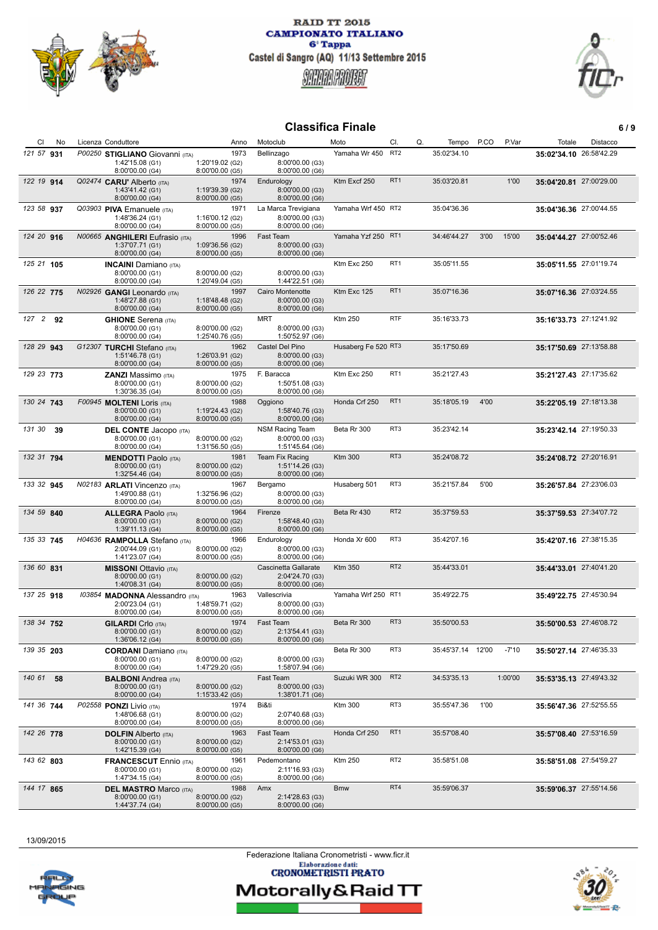



## **Classifica Finale 6 / 9**

| CI         | No | Licenza Conduttore                                     | Anno                               | Motoclub                            | Moto                | CI.             | Q.<br>Tempo       | P.CO | P.Var   | Totale                  | Distacco |
|------------|----|--------------------------------------------------------|------------------------------------|-------------------------------------|---------------------|-----------------|-------------------|------|---------|-------------------------|----------|
| 121 57 931 |    | P00250 STIGLIANO Giovanni (ITA)                        | 1973                               | Bellinzago                          | Yamaha Wr 450 RT2   |                 | 35:02'34.10       |      |         | 35:02'34.10 26:58'42.29 |          |
|            |    | 1:42'15.08 (G1)                                        | 1:20'19.02 (G2)                    | 8:00'00.00 (G3)                     |                     |                 |                   |      |         |                         |          |
|            |    | 8:00'00.00 (G4)                                        | 8:00'00.00 (G5)                    | 8:00'00.00 (G6)                     |                     |                 |                   |      |         |                         |          |
| 122 19 914 |    | Q02474 CARU' Alberto (ITA)<br>1:43'41.42 (G1)          | 1974<br>1:19'39.39 (G2)            | Endurology<br>8:00'00.00 (G3)       | Ktm Excf 250        | RT <sub>1</sub> | 35:03'20.81       |      | 1'00    | 35:04'20.81 27:00'29.00 |          |
|            |    | 8:00'00.00 (G4)                                        | 8:00'00.00 (G5)                    | 8:00'00.00 (G6)                     |                     |                 |                   |      |         |                         |          |
| 123 58 937 |    | Q03903 PIVA Emanuele (ITA)                             | 1971                               | La Marca Trevigiana                 | Yamaha Wrf 450 RT2  |                 | 35:04'36.36       |      |         | 35:04'36.36 27:00'44.55 |          |
|            |    | 1:48'36.24 (G1)<br>8:00'00.00 (G4)                     | 1:16'00.12 (G2)<br>8:00'00.00 (G5) | 8:00'00.00 (G3)<br>8:00'00.00 (G6)  |                     |                 |                   |      |         |                         |          |
| 124 20 916 |    | N00665 ANGHILERI Eufrasio (ITA)                        | 1996                               | Fast Team                           | Yamaha Yzf 250 RT1  |                 | 34:46'44.27       | 3'00 | 15'00   | 35:04'44.27 27:00'52.46 |          |
|            |    | 1:37'07.71 (G1)                                        | 1:09'36.56 (G2)                    | 8:00'00.00 (G3)                     |                     |                 |                   |      |         |                         |          |
|            |    | 8:00'00.00 (G4)                                        | 8:00'00.00 (G5)                    | 8:00'00.00 (G6)                     | Ktm Exc 250         | RT <sub>1</sub> |                   |      |         |                         |          |
| 125 21 105 |    | <b>INCAINI</b> Damiano (ITA)<br>8:00'00.00 (G1)        | 8:00'00.00 (G2)                    | 8:00'00.00 (G3)                     |                     |                 | 35:05'11.55       |      |         | 35:05'11.55 27:01'19.74 |          |
|            |    | 8:00'00.00 (G4)                                        | 1:20'49.04 (G5)                    | 1:44'22.51 (G6)                     |                     |                 |                   |      |         |                         |          |
| 126 22 775 |    | $N02926$ GANGI Leonardo (ITA)<br>1:48'27.88 (G1)       | 1997                               | Cairo Montenotte<br>8:00'00.00 (G3) | Ktm Exc 125         | RT <sub>1</sub> | 35:07'16.36       |      |         | 35:07'16.36 27:03'24.55 |          |
|            |    | 8:00'00.00 (G4)                                        | 1:18'48.48 (G2)<br>8:00'00.00 (G5) | 8:00'00.00 (G6)                     |                     |                 |                   |      |         |                         |          |
| 127 2 92   |    | <b>GHIONE</b> Serena (ITA)                             |                                    | MRT                                 | <b>Ktm 250</b>      | <b>RTF</b>      | 35:16'33.73       |      |         | 35:16'33.73 27:12'41.92 |          |
|            |    | 8:00'00.00 (G1)<br>8:00'00.00 (G4)                     | 8:00'00.00 (G2)<br>1:25'40.76 (G5) | 8:00'00.00 (G3)<br>1:50'52.97 (G6)  |                     |                 |                   |      |         |                         |          |
| 128 29 943 |    | G12307 TURCHI Stefano (ITA)                            | 1962                               | Castel Del Pino                     | Husaberg Fe 520 RT3 |                 | 35:17'50.69       |      |         | 35:17'50.69 27:13'58.88 |          |
|            |    | 1:51'46.78 (G1)                                        | 1:26'03.91 (G2)                    | 8:00'00.00 (G3)                     |                     |                 |                   |      |         |                         |          |
|            |    | 8:00'00.00 (G4)                                        | 8:00'00.00 (G5)                    | 8:00'00.00 (G6)                     |                     | RT <sub>1</sub> |                   |      |         |                         |          |
| 129 23 773 |    | <b>ZANZI Massimo</b> (ITA)<br>8:00'00.00 (G1)          | 1975<br>8:00'00.00 (G2)            | F. Baracca<br>1:50'51.08 (G3)       | Ktm Exc 250         |                 | 35:21'27.43       |      |         | 35:21'27.43 27:17'35.62 |          |
|            |    | 1:30'36.35 (G4)                                        | 8:00'00.00 (G5)                    | 8:00'00.00 (G6)                     |                     |                 |                   |      |         |                         |          |
| 130 24 743 |    | F00945 MOLTENI LOris (ITA)                             | 1988                               | Oggiono                             | Honda Crf 250       | RT <sub>1</sub> | 35:18'05.19       | 4'00 |         | 35:22'05.19 27:18'13.38 |          |
|            |    | 8:00'00.00 (G1)<br>8:00'00.00 (G4)                     | 1:19'24.43 (G2)<br>8:00'00.00 (G5) | 1:58'40.76 (G3)<br>8:00'00.00 (G6)  |                     |                 |                   |      |         |                         |          |
| 131 30     | 39 | <b>DEL CONTE Jacopo</b> (ITA)                          |                                    | <b>NSM Racing Team</b>              | Beta Rr 300         | RT3             | 35:23'42.14       |      |         | 35:23'42.14 27:19'50.33 |          |
|            |    | 8:00'00.00 (G1)<br>8:00'00.00 (G4)                     | 8:00'00.00 (G2)<br>1:31'56.50 (G5) | 8:00'00.00 (G3)<br>1:51'45.64 (G6)  |                     |                 |                   |      |         |                         |          |
| 132 31 794 |    | <b>MENDOTTI Paolo</b> (ITA)                            | 1981                               | Team Fix Racing                     | <b>Ktm 300</b>      | RT <sub>3</sub> | 35:24'08.72       |      |         | 35:24'08.72 27:20'16.91 |          |
|            |    | 8:00'00.00 (G1)                                        | 8:00'00.00 (G2)                    | 1:51'14.26 (G3)                     |                     |                 |                   |      |         |                         |          |
|            |    | 1:32'54.46 (G4)                                        | 8:00'00.00 (G5)                    | 8:00'00.00 (G6)                     |                     |                 |                   |      |         |                         |          |
| 133 32 945 |    | N02183 <b>ARLATI</b> Vincenzo (ITA)<br>1:49'00.88 (G1) | 1967<br>1:32'56.96 (G2)            | Bergamo<br>8:00'00.00 (G3)          | Husaberg 501        | RT3             | 35:21'57.84       | 5'00 |         | 35:26'57.84 27:23'06.03 |          |
|            |    | 8:00'00.00 (G4)                                        | 8:00'00.00 (G5)                    | 8:00'00.00 (G6)                     |                     |                 |                   |      |         |                         |          |
| 134 59 840 |    | <b>ALLEGRA Paolo (ITA)</b><br>8:00'00.00 (G1)          | 1964<br>8:00'00.00 (G2)            | Firenze<br>1:58'48.40 (G3)          | Beta Rr 430         | RT <sub>2</sub> | 35:37'59.53       |      |         | 35:37'59.53 27:34'07.72 |          |
|            |    | 1:39'11.13 (G4)                                        | 8:00'00.00 (G5)                    | 8:00'00.00 (G6)                     |                     |                 |                   |      |         |                         |          |
| 135 33 745 |    | H04636 RAMPOLLA Stefano (ITA)                          | 1966                               | Endurology                          | Honda Xr 600        | RT3             | 35:42'07.16       |      |         | 35:42'07.16 27:38'15.35 |          |
|            |    | 2:00'44.09 (G1)<br>1:41'23.07 (G4)                     | 8:00'00.00 (G2)<br>8:00'00.00 (G5) | 8:00'00.00 (G3)<br>8:00'00.00 (G6)  |                     |                 |                   |      |         |                         |          |
| 136 60 831 |    | <b>MISSONI</b> Ottavio (ITA)                           |                                    | Cascinetta Gallarate                | <b>Ktm 350</b>      | RT <sub>2</sub> | 35:44'33.01       |      |         | 35:44'33.01 27:40'41.20 |          |
|            |    | 8:00'00.00 (G1)                                        | 8:00'00.00 (G2)                    | 2:04'24.70 (G3)                     |                     |                 |                   |      |         |                         |          |
| 137 25 918 |    | 1:40'08.31 (G4)<br>103854 MADONNA Alessandro (ITA)     | 8:00'00.00 (G5)<br>1963            | 8:00'00.00 (G6)<br>Vallescrivia     | Yamaha Wrf 250 RT1  |                 | 35:49'22.75       |      |         | 35:49'22.75 27:45'30.94 |          |
|            |    | 2:00'23.04 (G1)                                        | 1:48'59.71 (G2)                    | 8:00'00.00 (G3)                     |                     |                 |                   |      |         |                         |          |
|            |    | 8:00'00.00 (G4)                                        | 8:00'00.00 (G5)                    | 8:00'00.00 (G6)                     |                     |                 |                   |      |         |                         |          |
| 138 34 752 |    | <b>GILARDI</b> Crlo (ITA)<br>8:00'00.00 (G1)           | 1974<br>8:00'00.00 (G2)            | Fast Team<br>2:13'54.41 (G3)        | Beta Rr 300         | RT3             | 35:50'00.53       |      |         | 35:50'00.53 27:46'08.72 |          |
|            |    | 1:36'06.12 (G4)                                        | 8:00'00.00 (G5)                    | 8:00'00.00 (G6)                     |                     |                 |                   |      |         |                         |          |
| 139 35 203 |    | <b>CORDANI</b> Damiano (ITA)                           |                                    |                                     | Beta Rr 300         | RT3             | 35:45'37.14 12'00 |      | $-7'10$ | 35:50'27.14 27:46'35.33 |          |
|            |    | 8:00'00.00 (G1)<br>8:00'00.00 (G4)                     | 8:00'00.00 (G2)<br>1:47'29.20 (G5) | 8:00'00.00 (G3)<br>1:58'07.94 (G6)  |                     |                 |                   |      |         |                         |          |
| 140 61 58  |    | <b>BALBONI</b> Andrea (ITA)                            |                                    | Fast Team                           | Suzuki WR 300       | RT <sub>2</sub> | 34:53'35.13       |      | 1:00'00 | 35:53'35.13 27:49'43.32 |          |
|            |    | 8:00'00.00 (G1)<br>8:00'00.00 (G4)                     | 8:00'00.00 (G2)                    | 8:00'00.00 (G3)                     |                     |                 |                   |      |         |                         |          |
| 141 36 744 |    | P02558 PONZI Livio (ITA)                               | 1:15'33.42 (G5)<br>1974            | 1:38'01.71 (G6)<br>Bi&ti            | <b>Ktm 300</b>      | RT3             | 35:55'47.36       | 1'00 |         | 35:56'47.36 27:52'55.55 |          |
|            |    | 1:48'06.68 (G1)                                        | 8:00'00.00 (G2)                    | 2:07'40.68 (G3)                     |                     |                 |                   |      |         |                         |          |
|            |    | 8:00'00.00 (G4)                                        | 8:00'00.00 (G5)                    | 8:00'00.00 (G6)                     |                     | RT <sub>1</sub> |                   |      |         |                         |          |
| 142 26 778 |    | <b>DOLFIN Alberto (ITA)</b><br>8:00'00.00 (G1)         | 1963<br>8:00'00.00 (G2)            | Fast Team<br>2:14'53.01 (G3)        | Honda Crf 250       |                 | 35:57'08.40       |      |         | 35:57'08.40 27:53'16.59 |          |
|            |    | 1:42'15.39 (G4)                                        | 8:00'00.00 (G5)                    | 8:00'00.00 (G6)                     |                     |                 |                   |      |         |                         |          |
| 143 62 803 |    | <b>FRANCESCUT</b> Ennio (ITA)                          | 1961                               | Pedemontano                         | <b>Ktm 250</b>      | RT <sub>2</sub> | 35:58'51.08       |      |         | 35:58'51.08 27:54'59.27 |          |
|            |    | 8:00'00.00 (G1)<br>1:47'34.15 (G4)                     | 8:00'00.00 (G2)<br>8:00'00.00 (G5) | 2:11'16.93 (G3)<br>8:00'00.00 (G6)  |                     |                 |                   |      |         |                         |          |
| 144 17 865 |    | <b>DEL MASTRO Marco (ITA)</b>                          | 1988                               | Amx                                 | <b>Bmw</b>          | RT4             | 35:59'06.37       |      |         | 35:59'06.37 27:55'14.56 |          |
|            |    | 8:00'00.00 (G1)<br>1:44'37.74 (G4)                     | 8:00'00.00 (G2)<br>8:00'00.00 (G5) | 2:14'28.63 (G3)<br>8:00'00.00 (G6)  |                     |                 |                   |      |         |                         |          |

13/09/2015

Federazione Italiana Cronometristi - www.ficr.it<br>Elaborazione dati:<br>CRONOMETRISTI PRATO

四君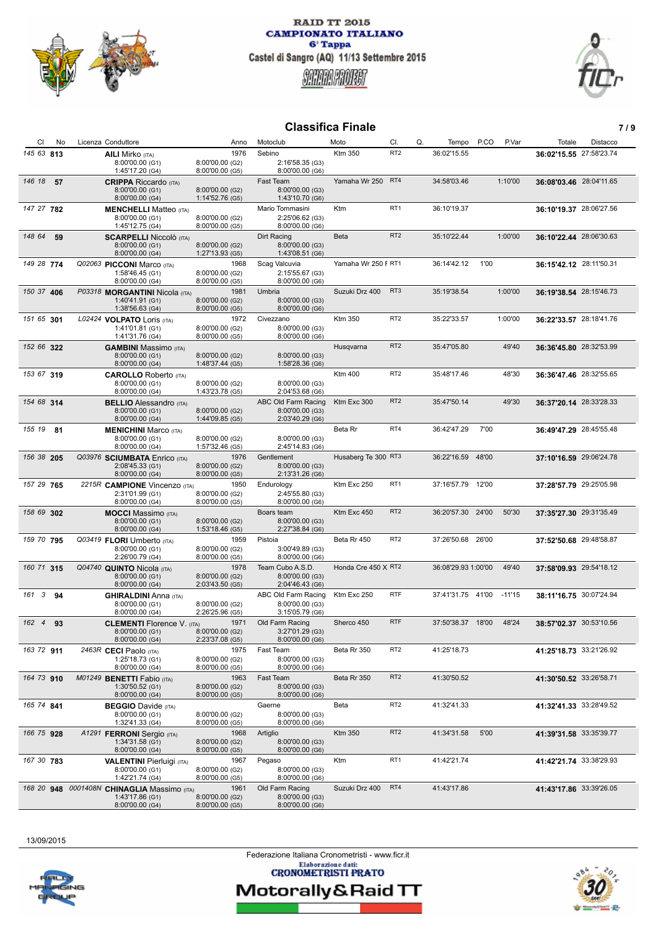



## **Classifica Finale 7 / 9**

| CI<br>No       | Licenza Conduttore                                                                | Anno                                       | Motoclub                                                  | Moto                | CI.             | Q.<br>Tempo         | P.CO<br>P.Var | Totale                  | Distacco |
|----------------|-----------------------------------------------------------------------------------|--------------------------------------------|-----------------------------------------------------------|---------------------|-----------------|---------------------|---------------|-------------------------|----------|
| 145 63 813     | <b>AILI Mirko</b> (ITA)<br>8:00'00.00 (G1)<br>1:45'17.20 (G4)                     | 1976<br>8:00'00.00 (G2)<br>8:00'00.00 (G5) | Sebino<br>2:16'58.35 (G3)<br>8:00'00.00 (G6)              | Ktm 350             | RT <sub>2</sub> | 36:02'15.55         |               | 36:02'15.55 27:58'23.74 |          |
| 146 18<br>- 57 | <b>CRIPPA</b> Riccardo (ITA)<br>8:00'00.00 (G1)<br>8:00'00.00 (G4)                | 8:00'00.00 (G2)<br>1:14'52.76 (G5)         | <b>Fast Team</b><br>8:00'00.00 (G3)<br>1:43'10.70 (G6)    | Yamaha Wr 250       | RT4             | 34:58'03.46         | 1:10'00       | 36:08'03.46 28:04'11.65 |          |
| 147 27 782     | <b>MENCHELLI</b> Matteo (ITA)<br>8:00'00.00 (G1)<br>1:45'12.75 (G4)               | 8:00'00.00 (G2)<br>8:00'00.00 (G5)         | Mario Tommasini<br>2:25'06.62 (G3)<br>8:00'00.00 (G6)     | Ktm                 | RT <sub>1</sub> | 36:10'19.37         |               | 36:10'19.37 28:06'27.56 |          |
| 148 64<br>59   | <b>SCARPELLI Niccolò</b> (ITA)<br>8:00'00.00 (G1)<br>8:00'00.00 (G4)              | 8:00'00.00 (G2)<br>1:27'13.93 (G5)         | Dirt Racing<br>8:00'00.00 (G3)<br>1:43'08.51 (G6)         | <b>Beta</b>         | RT <sub>2</sub> | 35:10'22.44         | 1:00'00       | 36:10'22.44 28:06'30.63 |          |
| 149 28 774     | Q02063 PICCONI Marco (ITA)<br>1:58'46.45 (G1)<br>8:00'00.00 (G4)                  | 1968<br>8:00'00.00 (G2)<br>8:00'00.00 (G5) | Scag Valcuvia<br>2:15'55.67 (G3)<br>8:00'00.00 (G6)       | Yamaha Wr 250 F RT1 |                 | 36:14'42.12         | 1'00          | 36:15'42.12 28:11'50.31 |          |
| 150 37 406     | P03318 MORGANTINI Nicola (ITA)<br>1:40'41.91 (G1)<br>1:38'56.63 (G4)              | 1981<br>8:00'00.00 (G2)<br>8:00'00.00 (G5) | Umbria<br>8:00'00.00 (G3)<br>8:00'00.00 (G6)              | Suzuki Drz 400      | RT <sub>3</sub> | 35:19'38.54         | 1:00'00       | 36:19'38.54 28:15'46.73 |          |
| 151 65 301     | L02424 VOLPATO Loris (ITA)<br>1:41'01.81 (G1)<br>1:41'31.76 (G4)                  | 1972<br>8:00'00.00 (G2)<br>8:00'00.00 (G5) | Civezzano<br>8:00'00.00 (G3)<br>8:00'00.00 (G6)           | Ktm 350             | RT <sub>2</sub> | 35:22'33.57         | 1:00'00       | 36:22'33.57 28:18'41.76 |          |
| 152 66 322     | <b>GAMBINI</b> Massimo (ITA)<br>8:00'00.00 (G1)<br>8:00'00.00 (G4)                | 8:00'00.00 (G2)<br>1:48'37.44 (G5)         | 8:00'00.00 (G3)<br>1:58'28.36 (G6)                        | Husqvarna           | RT <sub>2</sub> | 35:47'05.80         | 49'40         | 36:36'45.80 28:32'53.99 |          |
| 153 67 319     | <b>CAROLLO</b> Roberto (ITA)<br>8:00'00.00 (G1)<br>8:00'00.00 (G4)                | 8:00'00.00 (G2)<br>1:43'23.78 (G5)         | 8:00'00.00 (G3)<br>2:04'53.68 (G6)                        | Ktm 400             | RT <sub>2</sub> | 35:48'17.46         | 48'30         | 36:36'47.46 28:32'55.65 |          |
| 154 68 314     | <b>BELLIO</b> Alessandro (ITA)<br>8:00'00.00 (G1)<br>8:00'00.00 (G4)              | 8:00'00.00 (G2)<br>1:44'09.85 (G5)         | ABC Old Farm Racing<br>8:00'00.00 (G3)<br>2:03'40.29 (G6) | Ktm Exc 300         | RT <sub>2</sub> | 35:47'50.14         | 49'30         | 36:37'20.14 28:33'28.33 |          |
| 155 19<br>-81  | <b>MENICHINI Marco (ITA)</b><br>8:00'00.00 (G1)<br>8:00'00.00 (G4)                | 8:00'00.00 (G2)<br>1:57'32.46 (G5)         | 8:00'00.00 (G3)<br>2:45'14.83 (G6)                        | Beta Rr             | RT4             | 36:42'47.29         | 7'00          | 36:49'47.29 28:45'55.48 |          |
| 156 38 205     | Q03976 SCIUMBATA Enrico (ITA)<br>2:08'45.33 (G1)<br>8:00'00.00 (G4)               | 1976<br>8:00'00.00 (G2)<br>8:00'00.00 (G5) | Gentlement<br>8:00'00.00 (G3)<br>2:13'31.26 (G6)          | Husaberg Te 300 RT3 |                 | 36:22'16.59         | 48'00         | 37:10'16.59 29:06'24.78 |          |
| 157 29 765     | 2215R CAMPIONE Vincenzo (ITA)<br>2:31'01.99 (G1)<br>8:00'00.00 (G4)               | 1950<br>8:00'00.00 (G2)<br>8:00'00.00 (G5) | Endurology<br>2:45'55.80 (G3)<br>8:00'00.00 (G6)          | Ktm Exc 250         | RT <sub>1</sub> | 37:16'57.79         | 12'00         | 37:28'57.79 29:25'05.98 |          |
| 158 69 302     | <b>MOCCI</b> Massimo (ITA)<br>8:00'00.00 (G1)<br>8:00'00.00 (G4)                  | 8:00'00.00 (G2)<br>1:53'18.46 (G5)         | Boars team<br>8:00'00.00 (G3)<br>2:27'38.84 (G6)          | Ktm Exc 450         | RT <sub>2</sub> | 36:20'57.30 24'00   | 50'30         | 37:35'27.30 29:31'35.49 |          |
| 159 70 795     | Q03419 FLORI Umberto (ITA)<br>8:00'00.00 (G1)<br>2:26'00.79 (G4)                  | 1959<br>8:00'00.00 (G2)<br>8:00'00.00 (G5) | Pistoia<br>3:00'49.89 (G3)<br>8:00'00.00 (G6)             | Beta Rr 450         | RT <sub>2</sub> | 37:26'50.68 26'00   |               | 37:52'50.68 29:48'58.87 |          |
| 160 71 315     | Q04740 QUINTO Nicola (ITA)<br>8:00'00.00 (G1)<br>8:00'00.00 (G4)                  | 1978<br>8:00'00.00 (G2)<br>2:03'43.50 (G5) | Team Cubo A.S.D.<br>8:00'00.00 (G3)<br>2:04'46.43 (G6)    | Honda Cre 450 X RT2 |                 | 36:08'29.93 1:00'00 | 49'40         | 37:58'09.93 29:54'18.12 |          |
| 161 3<br>94    | <b>GHIRALDINI</b> Anna (ITA)<br>8:00'00.00 (G1)<br>8:00'00.00 (G4)                | 8:00'00.00 (G2)<br>2:26'25.96 (G5)         | ABC Old Farm Racing<br>8:00'00.00 (G3)<br>3:15'05.79 (G6) | Ktm Exc 250         | <b>RTF</b>      | 37:41'31.75 41'00   | $-11'15$      | 38:11'16.75 30:07'24.94 |          |
| 162 4<br>93    | <b>CLEMENTI Florence V. (ITA)</b><br>8:00'00.00 (G1)<br>8:00'00.00 (G4)           | 1971<br>8:00'00.00 (G2)<br>2:23'37.08 (G5) | Old Farm Racing<br>3:27'01.29 (G3)<br>8:00'00.00 (G6)     | Sherco 450          | <b>RTF</b>      | 37:50'38.37 18'00   | 48'24         | 38:57'02.37 30:53'10.56 |          |
| 163 72 911     | 2463R CECI Paolo (ITA)<br>1:25'18.73 (G1)<br>8:00'00.00 (G4)                      | 1975<br>8:00'00.00 (G2)<br>8:00'00.00 (G5) | Fast Team<br>8:00'00.00 (G3)<br>8:00'00.00 (G6)           | Beta Rr 350         | RT <sub>2</sub> | 41:25'18.73         |               | 41:25'18.73 33:21'26.92 |          |
| 164 73 910     | M01249 BENETTI Fabio (ITA)<br>1:30'50.52 (G1)<br>8:00'00.00 (G4)                  | 1963<br>8:00'00.00 (G2)<br>8:00'00.00 (G5) | Fast Team<br>8:00'00.00 (G3)<br>8:00'00.00 (G6)           | Beta Rr 350         | RT <sub>2</sub> | 41:30'50.52         |               | 41:30'50.52 33:26'58.71 |          |
| 165 74 841     | <b>BEGGIO</b> Davide (ITA)<br>8:00'00.00 (G1)<br>1:32'41.33 (G4)                  | 8:00'00.00 (G2)<br>8:00'00.00 (G5)         | Gaerne<br>8:00'00.00 (G3)<br>8:00'00.00 (G6)              | <b>Beta</b>         | RT <sub>2</sub> | 41:32'41.33         |               | 41:32'41.33 33:28'49.52 |          |
| 166 75 928     | A1291 FERRONI Sergio (ITA)<br>1:34'31.58 (G1)<br>8:00'00.00 (G4)                  | 1968<br>8:00'00.00 (G2)<br>8:00'00.00 (G5) | Artiglio<br>8:00'00.00 (G3)<br>8:00'00.00 (G6)            | Ktm 350             | RT <sub>2</sub> | 41:34'31.58         | 5'00          | 41:39'31.58 33:35'39.77 |          |
| 167 30 783     | <b>VALENTINI Pierluigi (ITA)</b><br>8:00'00.00 (G1)<br>1:42'21.74 (G4)            | 1967<br>8:00'00.00 (G2)<br>8:00'00.00 (G5) | Pegaso<br>8:00'00.00 (G3)<br>8:00'00.00 (G6)              | Ktm                 | RT <sub>1</sub> | 41:42'21.74         |               | 41:42'21.74 33:38'29.93 |          |
|                | 168 20 948 0001408N CHINAGLIA Massimo (ITA)<br>1:43'17.86 (G1)<br>8:00'00.00 (G4) | 1961<br>8:00'00.00 (G2)<br>8:00'00.00 (G5) | Old Farm Racing<br>8:00'00.00 (G3)<br>8:00'00.00 (G6)     | Suzuki Drz 400      | RT4             | 41:43'17.86         |               | 41:43'17.86 33:39'26.05 |          |

13/09/2015

Federazione Italiana Cronometristi - www.ficr.it<br>Elaborazione dati:<br>CRONOMETRISTI PRATO



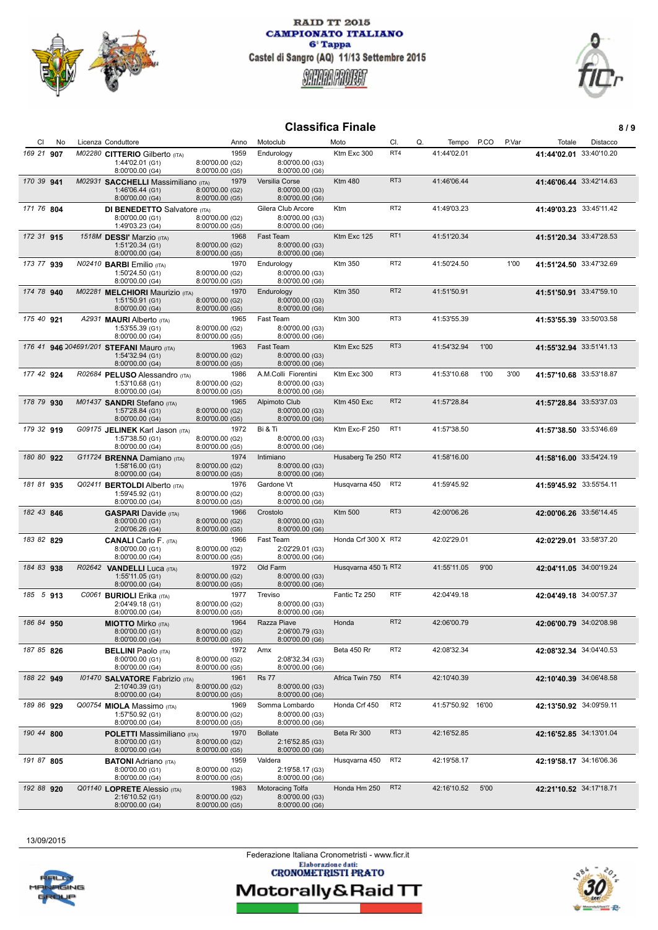



# **Classifica Finale** 8/9

| CI.        | No | Licenza Conduttore                                                              | Anno                                       | Motoclub                                                   | Moto                 | CI.             | Q.          | P.CO<br>Tempo     | P.Var | Totale                  | Distacco |
|------------|----|---------------------------------------------------------------------------------|--------------------------------------------|------------------------------------------------------------|----------------------|-----------------|-------------|-------------------|-------|-------------------------|----------|
| 169 21 907 |    | M02280 CITTERIO Gilberto (ITA)<br>1:44'02.01 (G1)<br>8:00'00.00 (G4)            | 1959<br>8:00'00.00 (G2)<br>8:00'00.00 (G5) | Endurology<br>8:00'00.00 (G3)<br>8:00'00.00 (G6)           | Ktm Exc 300          | RT4             | 41:44'02.01 |                   |       | 41:44'02.01 33:40'10.20 |          |
| 170 39 941 |    | M02931 SACCHELLI Massimiliano (ITA)<br>1:46'06.44 (G1)<br>8:00'00.00 (G4)       | 1979<br>8:00'00.00 (G2)<br>8:00'00.00 (G5) | Versilia Corse<br>8:00'00.00 (G3)<br>8:00'00.00 (G6)       | <b>Ktm 480</b>       | RT <sub>3</sub> | 41:46'06.44 |                   |       | 41:46'06.44 33:42'14.63 |          |
| 171 76 804 |    | <b>DI BENEDETTO Salvatore (ITA)</b><br>8:00'00.00 (G1)<br>1:49'03.23 (G4)       | 8:00'00.00 (G2)<br>8:00'00.00 (G5)         | Gilera Club Arcore<br>8:00'00.00 (G3)<br>8:00'00.00 (G6)   | Ktm                  | RT <sub>2</sub> | 41:49'03.23 |                   |       | 41:49'03.23 33:45'11.42 |          |
| 172 31 915 |    | 1518M DESSI' Marzio (ITA)<br>1:51'20.34 (G1)<br>8:00'00.00 (G4)                 | 1968<br>8:00'00.00 (G2)<br>8:00'00.00 (G5) | <b>Fast Team</b><br>8:00'00.00 (G3)<br>8:00'00.00 (G6)     | Ktm Exc 125          | RT <sub>1</sub> | 41:51'20.34 |                   |       | 41:51'20.34 33:47'28.53 |          |
| 173 77 939 |    | N02410 <b>BARBI</b> Emilio (ITA)<br>1:50'24.50 (G1)<br>8:00'00.00 (G4)          | 1970<br>8:00'00.00 (G2)<br>8:00'00.00 (G5) | Endurology<br>8:00'00.00 (G3)<br>8:00'00.00 (G6)           | <b>Ktm 350</b>       | RT <sub>2</sub> | 41:50'24.50 |                   | 1'00  | 41:51'24.50 33:47'32.69 |          |
| 174 78 940 |    | M02281 MELCHIORI Maurizio (ITA)<br>1:51'50.91 (G1)<br>8:00'00.00 (G4)           | 1970<br>8:00'00.00 (G2)<br>8:00'00.00 (G5) | Endurology<br>8:00'00.00 (G3)<br>8:00'00.00 (G6)           | <b>Ktm 350</b>       | RT <sub>2</sub> | 41:51'50.91 |                   |       | 41:51'50.91 33:47'59.10 |          |
| 175 40 921 |    | A2931 <b>MAURI</b> Alberto (ITA)<br>1:53'55.39 (G1)<br>8:00'00.00 (G4)          | 1965<br>8:00'00.00 (G2)<br>8:00'00.00 (G5) | Fast Team<br>8:00'00.00 (G3)<br>8:00'00.00 (G6)            | <b>Ktm 300</b>       | RT3             | 41:53'55.39 |                   |       | 41:53'55.39 33:50'03.58 |          |
|            |    | 176 41 946 204691/201 STEFANI Mauro (ITA)<br>1:54'32.94 (G1)<br>8:00'00.00 (G4) | 1963<br>8:00'00.00 (G2)<br>8:00'00.00 (G5) | <b>Fast Team</b><br>8:00'00.00 (G3)<br>8:00'00.00 (G6)     | Ktm Exc 525          | RT <sub>3</sub> | 41:54'32.94 | 1'00              |       | 41:55'32.94 33:51'41.13 |          |
| 177 42 924 |    | R02684 PELUSO Alessandro (ITA)<br>1:53'10.68 (G1)<br>8:00'00.00 (G4)            | 1986<br>8:00'00.00 (G2)<br>8:00'00.00 (G5) | A.M.Colli Fiorentini<br>8:00'00.00 (G3)<br>8:00'00.00 (G6) | Ktm Exc 300          | RT3             | 41:53'10.68 | 1'00              | 3'00  | 41:57'10.68 33:53'18.87 |          |
| 178 79 930 |    | M01437 SANDRI Stefano (ITA)<br>1:57'28.84 (G1)<br>8:00'00.00 (G4)               | 1965<br>8:00'00.00 (G2)<br>8:00'00.00 (G5) | Alpimoto Club<br>8:00'00.00 (G3)<br>8:00'00.00 (G6)        | Ktm 450 Exc          | RT <sub>2</sub> | 41:57'28.84 |                   |       | 41:57'28.84 33:53'37.03 |          |
| 179 32 919 |    | G09175 JELINEK Karl Jason (ITA)<br>1:57'38.50 (G1)<br>8:00'00.00 (G4)           | 1972<br>8:00'00.00 (G2)<br>8:00'00.00 (G5) | Bi & Ti<br>8:00'00.00 (G3)<br>8:00'00.00 (G6)              | Ktm Exc-F 250        | RT <sub>1</sub> | 41:57'38.50 |                   |       | 41:57'38.50 33:53'46.69 |          |
| 180 80 922 |    | G11724 BRENNA Damiano (ITA)<br>1:58'16.00 (G1)<br>8:00'00.00 (G4)               | 1974<br>8:00'00.00 (G2)<br>8:00'00.00 (G5) | Intimiano<br>8:00'00.00 (G3)<br>8:00'00.00 (G6)            | Husaberg Te 250 RT2  |                 | 41:58'16.00 |                   |       | 41:58'16.00 33:54'24.19 |          |
| 181 81 935 |    | Q02411 <b>BERTOLDI</b> Alberto (ITA)<br>1:59'45.92 (G1)<br>8:00'00.00 (G4)      | 1976<br>8:00'00.00 (G2)<br>8:00'00.00 (G5) | Gardone Vt<br>8:00'00.00 (G3)<br>8:00'00.00 (G6)           | Husqvarna 450        | RT <sub>2</sub> | 41:59'45.92 |                   |       | 41:59'45.92 33:55'54.11 |          |
| 182 43 846 |    | <b>GASPARI</b> Davide (ITA)<br>8:00'00.00 (G1)<br>2:00'06.26 (G4)               | 1966<br>8:00'00.00 (G2)<br>8:00'00.00 (G5) | Crostolo<br>8:00'00.00 (G3)<br>8:00'00.00 (G6)             | <b>Ktm 500</b>       | RT <sub>3</sub> | 42:00'06.26 |                   |       | 42:00'06.26 33:56'14.45 |          |
| 183 82 829 |    | <b>CANALI</b> Carlo F. (ITA)<br>8:00'00.00 (G1)<br>8:00'00.00 (G4)              | 1966<br>8:00'00.00 (G2)<br>8:00'00.00 (G5) | Fast Team<br>2:02'29.01 (G3)<br>8:00'00.00 (G6)            | Honda Crf 300 X RT2  |                 | 42:02'29.01 |                   |       | 42:02'29.01 33:58'37.20 |          |
| 184 83 938 |    | R02642 VANDELLI Luca (ITA)<br>1:55'11.05 (G1)<br>8:00'00.00 (G4)                | 1972<br>8:00'00.00 (G2)<br>8:00'00.00 (G5) | Old Farm<br>8:00'00.00 (G3)<br>8:00'00.00 (G6)             | Husqvarna 450 Tt RT2 |                 | 41:55'11.05 | 9'00              |       | 42:04'11.05 34:00'19.24 |          |
| 185 5 913  |    | C0061 BURIOLI Erika (ITA)<br>2:04'49.18 (G1)<br>8:00'00.00 (G4)                 | 1977<br>8:00'00.00 (G2)<br>8:00'00.00 (G5) | Treviso<br>8:00'00.00 (G3)<br>8:00'00.00 (G6)              | Fantic Tz 250        | <b>RTF</b>      | 42:04'49.18 |                   |       | 42:04'49.18 34:00'57.37 |          |
| 186 84 950 |    | <b>MIOTTO</b> Mirko (ITA)<br>8:00'00.00 (G1)<br>8:00'00.00 (G4)                 | 1964<br>8:00'00.00 (G2)<br>8:00'00.00 (G5) | Razza Piave<br>2:06'00.79 (G3)<br>8:00'00.00 (G6)          | Honda                | RT <sub>2</sub> | 42:06'00.79 |                   |       | 42:06'00.79 34:02'08.98 |          |
| 187 85 826 |    | <b>BELLINI</b> Paolo (ITA)<br>8:00'00.00 (G1)<br>8:00'00.00 (G4)                | 1972<br>8:00'00.00 (G2)<br>8:00'00.00 (G5) | Amx<br>2:08'32.34 (G3)<br>8:00'00.00 (G6)                  | Beta 450 Rr          | RT <sub>2</sub> | 42:08'32.34 |                   |       | 42:08'32.34 34:04'40.53 |          |
| 188 22 949 |    | 101470 SALVATORE Fabrizio (ITA)<br>2:10'40.39 (G1)<br>8:00'00.00 (G4)           | 1961<br>8:00'00.00 (G2)<br>8:00'00.00 (G5) | <b>Rs 77</b><br>8:00'00.00 (G3)<br>8:00'00.00 (G6)         | Africa Twin 750      | RT4             | 42:10'40.39 |                   |       | 42:10'40.39 34:06'48.58 |          |
| 189 86 929 |    | Q00754 MIOLA Massimo (ITA)<br>1:57'50.92 (G1)<br>8:00'00.00 (G4)                | 1969<br>8:00'00.00 (G2)<br>8:00'00.00 (G5) | Somma Lombardo<br>8:00'00.00 (G3)<br>8:00'00.00 (G6)       | Honda Crf 450        | RT <sub>2</sub> |             | 41:57'50.92 16'00 |       | 42:13'50.92 34:09'59.11 |          |
| 190 44 800 |    | <b>POLETTI Massimiliano</b> (ITA)<br>8:00'00.00 (G1)<br>8:00'00.00 (G4)         | 1970<br>8:00'00.00 (G2)<br>8:00'00.00 (G5) | <b>Bollate</b><br>2:16'52.85 (G3)<br>8:00'00.00 (G6)       | Beta Rr 300          | RT <sub>3</sub> | 42:16'52.85 |                   |       | 42:16'52.85 34:13'01.04 |          |
| 191 87 805 |    | <b>BATONI</b> Adriano (ITA)<br>8:00'00.00 (G1)<br>8:00'00.00 (G4)               | 1959<br>8:00'00.00 (G2)<br>8:00'00.00 (G5) | Valdera<br>2:19'58.17 (G3)<br>8:00'00.00 (G6)              | Husqvarna 450        | RT <sub>2</sub> | 42:19'58.17 |                   |       | 42:19'58.17 34:16'06.36 |          |
| 192 88 920 |    | Q01140 LOPRETE Alessio (ITA)<br>2:16'10.52 (G1)<br>8:00'00.00 (G4)              | 1983<br>8:00'00.00 (G2)<br>8:00'00.00 (G5) | Motoracing Tolfa<br>8:00'00.00 (G3)<br>8:00'00.00 (G6)     | Honda Hm 250         | RT <sub>2</sub> | 42:16'10.52 | 5'00              |       | 42:21'10.52 34:17'18.71 |          |

13/09/2015

Federazione Italiana Cronometristi - www.ficr.it<br>Elaborazione dati:<br>CRONOMETRISTI PRATO